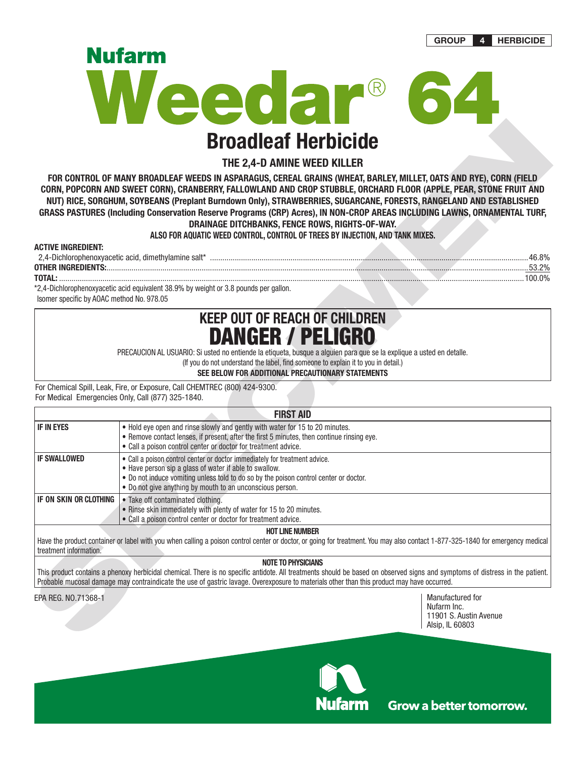**GROUP 4 HERBICIDE**



## **THE 2,4-D AMINE WEED KILLER**

### **ALSO FOR AQUATIC WEED CONTROL, CONTROL OF TREES BY INJECTION, AND TANK MIXES.**

| AG I IVE                                                  |  |  |
|-----------------------------------------------------------|--|--|
| $74-1$<br>Dichlorophenoxyacetic acid. dimethylamine salt* |  |  |
| <b>OTHER INGRE</b>                                        |  |  |
| ΤΩΤΔΙ                                                     |  |  |

# **KEEP OUT OF REACH OF CHILDREN** DANGER / PELIGRO

|                                                    | <b>Broadleaf Herbicide</b>                                                                                                                                                                                                                                                                                                                                                                                                                                                                                                                                                                                                      |                                                                              |  |  |  |  |  |
|----------------------------------------------------|---------------------------------------------------------------------------------------------------------------------------------------------------------------------------------------------------------------------------------------------------------------------------------------------------------------------------------------------------------------------------------------------------------------------------------------------------------------------------------------------------------------------------------------------------------------------------------------------------------------------------------|------------------------------------------------------------------------------|--|--|--|--|--|
| THE 2,4-D AMINE WEED KILLER                        |                                                                                                                                                                                                                                                                                                                                                                                                                                                                                                                                                                                                                                 |                                                                              |  |  |  |  |  |
|                                                    | FOR CONTROL OF MANY BROADLEAF WEEDS IN ASPARAGUS, CEREAL GRAINS (WHEAT, BARLEY, MILLET, OATS AND RYE), CORN (FIELD<br>CORN, POPCORN AND SWEET CORN), CRANBERRY, FALLOWLAND AND CROP STUBBLE, ORCHARD FLOOR (APPLE, PEAR, STONE FRUIT AND<br>NUT) RICE, SORGHUM, SOYBEANS (Preplant Burndown Only), STRAWBERRIES, SUGARCANE, FORESTS, RANGELAND AND ESTABLISHED<br>GRASS PASTURES (Including Conservation Reserve Programs (CRP) Acres), IN NON-CROP AREAS INCLUDING LAWNS, ORNAMENTAL TURF,<br>DRAINAGE DITCHBANKS, FENCE ROWS, RIGHTS-OF-WAY.<br>ALSO FOR AQUATIC WEED CONTROL, CONTROL OF TREES BY INJECTION, AND TANK MIXES. |                                                                              |  |  |  |  |  |
| <b>ACTIVE INGREDIENT:</b>                          |                                                                                                                                                                                                                                                                                                                                                                                                                                                                                                                                                                                                                                 |                                                                              |  |  |  |  |  |
|                                                    |                                                                                                                                                                                                                                                                                                                                                                                                                                                                                                                                                                                                                                 |                                                                              |  |  |  |  |  |
|                                                    |                                                                                                                                                                                                                                                                                                                                                                                                                                                                                                                                                                                                                                 |                                                                              |  |  |  |  |  |
| Isomer specific by AOAC method No. 978.05          | *2,4-Dichlorophenoxyacetic acid equivalent 38.9% by weight or 3.8 pounds per gallon.                                                                                                                                                                                                                                                                                                                                                                                                                                                                                                                                            |                                                                              |  |  |  |  |  |
|                                                    | <b>DANGER / PELIGRO</b><br>PRECAUCION AL USUARIO: Si usted no entiende la etiqueta, busque a alguien para que se la explique a usted en detalle.<br>(If you do not understand the label, find someone to explain it to you in detail.)<br>SEE BELOW FOR ADDITIONAL PRECAUTIONARY STATEMENTS                                                                                                                                                                                                                                                                                                                                     |                                                                              |  |  |  |  |  |
| For Medical Emergencies Only, Call (877) 325-1840. | For Chemical Spill, Leak, Fire, or Exposure, Call CHEMTREC (800) 424-9300.                                                                                                                                                                                                                                                                                                                                                                                                                                                                                                                                                      |                                                                              |  |  |  |  |  |
|                                                    | <b>FIRST AID</b>                                                                                                                                                                                                                                                                                                                                                                                                                                                                                                                                                                                                                |                                                                              |  |  |  |  |  |
| <b>IF IN EYES</b>                                  | . Hold eye open and rinse slowly and gently with water for 15 to 20 minutes.<br>• Remove contact lenses, if present, after the first 5 minutes, then continue rinsing eye.<br>• Call a poison control center or doctor for treatment advice.                                                                                                                                                                                                                                                                                                                                                                                    |                                                                              |  |  |  |  |  |
| <b>IF SWALLOWED</b>                                | . Call a poison control center or doctor immediately for treatment advice.<br>• Have person sip a glass of water if able to swallow.<br>. Do not induce vomiting unless told to do so by the poison control center or doctor.<br>. Do not give anything by mouth to an unconscious person.                                                                                                                                                                                                                                                                                                                                      |                                                                              |  |  |  |  |  |
| IF ON SKIN OR CLOTHING                             | • Take off contaminated clothing.<br>. Rinse skin immediately with plenty of water for 15 to 20 minutes.<br>• Call a poison control center or doctor for treatment advice.                                                                                                                                                                                                                                                                                                                                                                                                                                                      |                                                                              |  |  |  |  |  |
|                                                    | <b>HOT LINE NUMBER</b>                                                                                                                                                                                                                                                                                                                                                                                                                                                                                                                                                                                                          |                                                                              |  |  |  |  |  |
| treatment information.                             | Have the product container or label with you when calling a poison control center or doctor, or going for treatment. You may also contact 1-877-325-1840 for emergency medical                                                                                                                                                                                                                                                                                                                                                                                                                                                  |                                                                              |  |  |  |  |  |
|                                                    | <b>NOTE TO PHYSICIANS</b><br>This product contains a phenoxy herbicidal chemical. There is no specific antidote. All treatments should be based on observed signs and symptoms of distress in the patient.<br>Probable mucosal damage may contraindicate the use of gastric lavage. Overexposure to materials other than this product may have occurred.                                                                                                                                                                                                                                                                        |                                                                              |  |  |  |  |  |
| EPA REG. NO.71368-1                                |                                                                                                                                                                                                                                                                                                                                                                                                                                                                                                                                                                                                                                 | Manufactured for<br>Nufarm Inc.<br>11901 S. Austin Avenue<br>Alsip, IL 60803 |  |  |  |  |  |

### **NOTE TO PHYSICIANS**

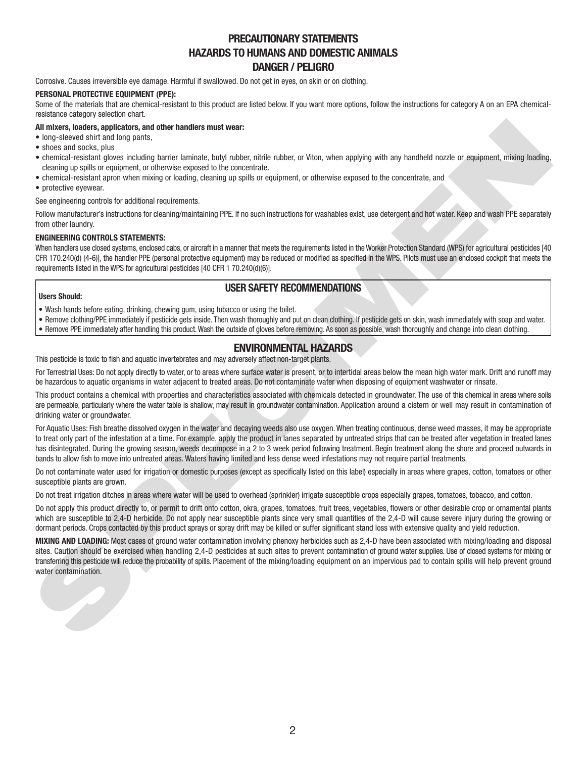## **PRECAUTIONARY STATEMENTS HAZARDS TO HUMANS AND DOMESTIC ANIMALS DANGER / PELIGRO**

Corrosive. Causes irreversible eye damage. Harmful if swallowed. Do not get in eyes, on skin or on clothing.

### **PERSONAL PROTECTIVE EQUIPMENT (PPE):**

Some of the materials that are chemical-resistant to this product are listed below. If you want more options, follow the instructions for category A on an EPA chemicalresistance category selection chart.

### **All mixers, loaders, applicators, and other handlers must wear:**

- long-sleeved shirt and long pants,
- shoes and socks, plus
- chemical-resistant gloves including barrier laminate, butyl rubber, nitrile rubber, or Viton, when applying with any handheld nozzle or equipment, mixing loading, cleaning up spills or equipment, or otherwise exposed to the concentrate.
- chemical-resistant apron when mixing or loading, cleaning up spills or equipment, or otherwise exposed to the concentrate, and
- protective eyewear.

See engineering controls for additional requirements.

Follow manufacturer's instructions for cleaning/maintaining PPE. If no such instructions for washables exist, use detergent and hot water. Keep and wash PPE separately from other laundry.

### **ENGINEERING CONTROLS STATEMENTS:**

When handlers use closed systems, enclosed cabs, or aircraft in a manner that meets the requirements listed in the Worker Protection Standard (WPS) for agricultural pesticides [40 CFR 170.240(d) (4-6)], the handler PPE (personal protective equipment) may be reduced or modified as specified in the WPS. Pilots must use an enclosed cockpit that meets the requirements listed in the WPS for agricultural pesticides [40 CFR 1 70.240(d)(6)].

## **USER SAFETY RECOMMENDATIONS**

### **Users Should:**

- Wash hands before eating, drinking, chewing gum, using tobacco or using the toilet.
- Remove clothing/PPE immediately if pesticide gets inside. Then wash thoroughly and put on clean clothing. If pesticide gets on skin, wash immediately with soap and water.
- Remove PPE immediately after handling this product. Wash the outside of gloves before removing. As soon as possible, wash thoroughly and change into clean clothing.

## **ENVIRONMENTAL HAZARDS**

This pesticide is toxic to fish and aquatic invertebrates and may adversely affect non-target plants.

For Terrestrial Uses: Do not apply directly to water, or to areas where surface water is present, or to intertidal areas below the mean high water mark. Drift and runoff may be hazardous to aquatic organisms in water adjacent to treated areas. Do not contaminate water when disposing of equipment washwater or rinsate.

This product contains a chemical with properties and characteristics associated with chemicals detected in groundwater. The use of this chemical in areas where soils are permeable, particularly where the water table is shallow, may result in groundwater contamination. Application around a cistern or well may result in contamination of drinking water or groundwater.

All mixers, has explored of the headers mad wear.<br>All mixers, has explored of the bygins and the bygins and the control of the mixers and the properties and a control of the control of the control of the control of the con For Aquatic Uses: Fish breathe dissolved oxygen in the water and decaying weeds also use oxygen. When treating continuous, dense weed masses, it may be appropriate to treat only part of the infestation at a time. For example, apply the product in lanes separated by untreated strips that can be treated after vegetation in treated lanes has disintegrated. During the growing season, weeds decompose in a 2 to 3 week period following treatment. Begin treatment along the shore and proceed outwards in bands to allow fish to move into untreated areas. Waters having limited and less dense weed infestations may not require partial treatments.

Do not contaminate water used for irrigation or domestic purposes (except as specifically listed on this label) especially in areas where grapes, cotton, tomatoes or other susceptible plants are grown.

Do not treat irrigation ditches in areas where water will be used to overhead (sprinkler) irrigate susceptible crops especially grapes, tomatoes, tobacco, and cotton.

Do not apply this product directly to, or permit to drift onto cotton, okra, grapes, tomatoes, fruit trees, vegetables, flowers or other desirable crop or ornamental plants which are susceptible to 2.4-D herbicide. Do not apply near susceptible plants since very small quantities of the 2.4-D will cause severe injury during the growing or dormant periods. Crops contacted by this product sprays or spray drift may be killed or suffer significant stand loss with extensive quality and yield reduction.

**MIXING AND LOADING:** Most cases of ground water contamination involving phenoxy herbicides such as 2,4-D have been associated with mixing/loading and disposal sites. Caution should be exercised when handling 2.4-D pesticides at such sites to prevent contamination of ground water supplies. Use of closed systems for mixing or transferring this pesticide will reduce the probability of spills. Placement of the mixing/loading equipment on an impervious pad to contain spills will help prevent ground water contamination.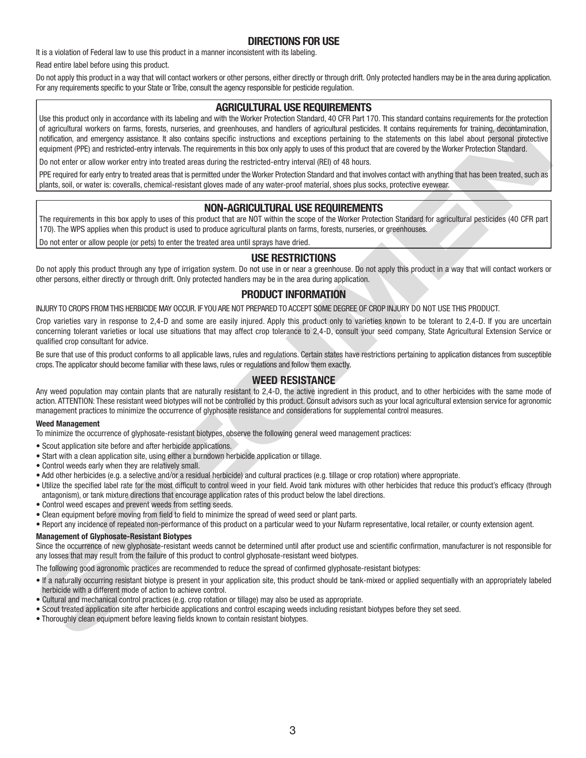## **DIRECTIONS FOR USE**

It is a violation of Federal law to use this product in a manner inconsistent with its labeling.

Read entire label before using this product.

Do not apply this product in a way that will contact workers or other persons, either directly or through drift. Only protected handlers may be in the area during application. For any requirements specific to your State or Tribe, consult the agency responsible for pesticide regulation.

### **AGRICULTURAL USE REQUIREMENTS**

The material on the state with the state in the state with the state of the state of the state of the state of the state of the state of the state of the state of the state of the state of the state of the state of the st Use this product only in accordance with its labeling and with the Worker Protection Standard, 40 CFR Part 170. This standard contains requirements for the protection of agricultural workers on farms, forests, nurseries, and greenhouses, and handlers of agricultural pesticides. It contains requirements for training, decontamination, notification, and emergency assistance. It also contains specific instructions and exceptions pertaining to the statements on this label about personal protective equipment (PPE) and restricted-entry intervals. The requirements in this box only apply to uses of this product that are covered by the Worker Protection Standard.

Do not enter or allow worker entry into treated areas during the restricted-entry interval (REI) of 48 hours.

PPE required for early entry to treated areas that is permitted under the Worker Protection Standard and that involves contact with anything that has been treated, such as plants, soil, or water is: coveralls, chemical-resistant gloves made of any water-proof material, shoes plus socks, protective eyewear.

## **NON-AGRICULTURAL USE REQUIREMENTS**

The requirements in this box apply to uses of this product that are NOT within the scope of the Worker Protection Standard for agricultural pesticides (40 CFR part 170). The WPS applies when this product is used to produce agricultural plants on farms, forests, nurseries, or greenhouses.

Do not enter or allow people (or pets) to enter the treated area until sprays have dried.

### **USE RESTRICTIONS**

Do not apply this product through any type of irrigation system. Do not use in or near a greenhouse. Do not apply this product in a way that will contact workers or other persons, either directly or through drift. Only protected handlers may be in the area during application.

## **PRODUCT INFORMATION**

INJURY TO CROPS FROM THIS HERBICIDE MAY OCCUR. IF YOU ARE NOT PREPARED TO ACCEPT SOME DEGREE OF CROP INJURY DO NOT USE THIS PRODUCT.

Crop varieties vary in response to 2,4-D and some are easily injured. Apply this product only to varieties known to be tolerant to 2,4-D. If you are uncertain concerning tolerant varieties or local use situations that may affect crop tolerance to 2,4-D, consult your seed company, State Agricultural Extension Service or qualified crop consultant for advice.

Be sure that use of this product conforms to all applicable laws, rules and regulations. Certain states have restrictions pertaining to application distances from susceptible crops. The applicator should become familiar with these laws, rules or regulations and follow them exactly.

### **WEED RESISTANCE**

Any weed population may contain plants that are naturally resistant to 2,4-D, the active ingredient in this product, and to other herbicides with the same mode of action. ATTENTION: These resistant weed biotypes will not be controlled by this product. Consult advisors such as your local agricultural extension service for agronomic management practices to minimize the occurrence of glyphosate resistance and considerations for supplemental control measures.

### **Weed Management**

To minimize the occurrence of glyphosate-resistant biotypes, observe the following general weed management practices:

- Scout application site before and after herbicide applications.
- Start with a clean application site, using either a burndown herbicide application or tillage.
- Control weeds early when they are relatively small.
- Add other herbicides (e.g. a selective and/or a residual herbicide) and cultural practices (e.g. tillage or crop rotation) where appropriate.
- Utilize the specified label rate for the most difficult to control weed in your field. Avoid tank mixtures with other herbicides that reduce this product's efficacy (through antagonism), or tank mixture directions that encourage application rates of this product below the label directions.
- Control weed escapes and prevent weeds from setting seeds.
- Clean equipment before moving from field to field to minimize the spread of weed seed or plant parts.
- Report any incidence of repeated non-performance of this product on a particular weed to your Nufarm representative, local retailer, or county extension agent.

### **Management of Glyphosate-Resistant Biotypes**

Since the occurrence of new glyphosate-resistant weeds cannot be determined until after product use and scientific confirmation, manufacturer is not responsible for any losses that may result from the failure of this product to control glyphosate-resistant weed biotypes.

The following good agronomic practices are recommended to reduce the spread of confirmed glyphosate-resistant biotypes:

- If a naturally occurring resistant biotype is present in your application site, this product should be tank-mixed or applied sequentially with an appropriately labeled herbicide with a different mode of action to achieve control.
- Cultural and mechanical control practices (e.g. crop rotation or tillage) may also be used as appropriate.
- Scout treated application site after herbicide applications and control escaping weeds including resistant biotypes before they set seed.
- Thoroughly clean equipment before leaving fields known to contain resistant biotypes.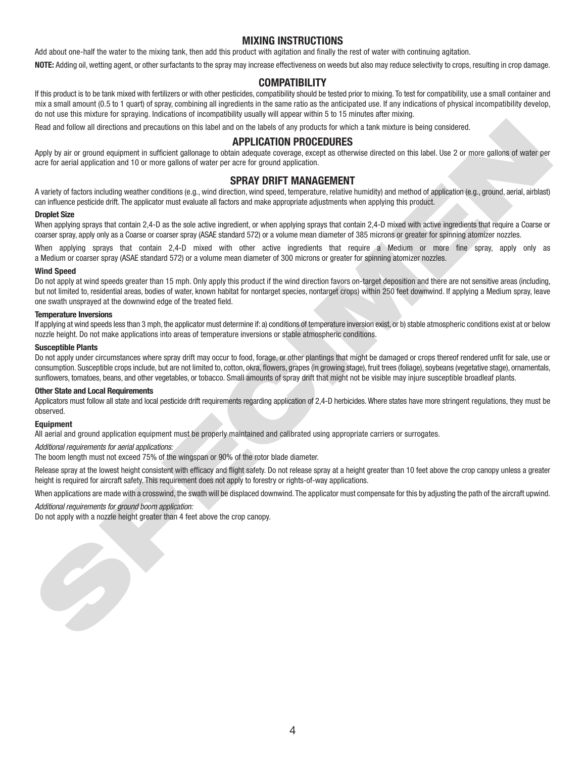## **MIXING INSTRUCTIONS**

Add about one-half the water to the mixing tank, then add this product with agitation and finally the rest of water with continuing agitation.

**NOTE:** Adding oil, wetting agent, or other surfactants to the spray may increase effectiveness on weeds but also may reduce selectivity to crops, resulting in crop damage.

## **COMPATIBILITY**

If this product is to be tank mixed with fertilizers or with other pesticides, compatibility should be tested prior to mixing. To test for compatibility, use a small container and mix a small amount (0.5 to 1 quart) of spray, combining all ingredients in the same ratio as the anticipated use. If any indications of physical incompatibility develop, do not use this mixture for spraying. Indications of incompatibility usually will appear within 5 to 15 minutes after mixing.

Read and follow all directions and precautions on this label and on the labels of any products for which a tank mixture is being considered.

### **APPLICATION PROCEDURES**

Apply by air or ground equipment in sufficient gallonage to obtain adequate coverage, except as otherwise directed on this label. Use 2 or more gallons of water per acre for aerial application and 10 or more gallons of water per acre for ground application.

### **SPRAY DRIFT MANAGEMENT**

A variety of factors including weather conditions (e.g., wind direction, wind speed, temperature, relative humidity) and method of application (e.g., ground, aerial, airblast) can influence pesticide drift. The applicator must evaluate all factors and make appropriate adjustments when applying this product.

#### **Droplet Size**

When applying sprays that contain 2,4-D as the sole active ingredient, or when applying sprays that contain 2,4-D mixed with active ingredients that require a Coarse or coarser spray, apply only as a Coarse or coarser spray (ASAE standard 572) or a volume mean diameter of 385 microns or greater for spinning atomizer nozzles.

When applying sprays that contain 2,4-D mixed with other active ingredients that require a Medium or more fine spray, apply only as a Medium or coarser spray (ASAE standard 572) or a volume mean diameter of 300 microns or greater for spinning atomizer nozzles.

#### **Wind Speed**

Food and father attaching to mean that the last of a basis of a yealistic without a lower technique and the system of the system of a state of a state of a state of a state of a state of a state of a state of a state of a Do not apply at wind speeds greater than 15 mph. Only apply this product if the wind direction favors on-target deposition and there are not sensitive areas (including, but not limited to, residential areas, bodies of water, known habitat for nontarget species, nontarget crops) within 250 feet downwind. If applying a Medium spray, leave one swath unsprayed at the downwind edge of the treated field.

#### **Temperature Inversions**

If applying at wind speeds less than 3 mph, the applicator must determine if: a) conditions of temperature inversion exist, or b) stable atmospheric conditions exist at or below nozzle height. Do not make applications into areas of temperature inversions or stable atmospheric conditions.

#### **Susceptible Plants**

Do not apply under circumstances where spray drift may occur to food, forage, or other plantings that might be damaged or crops thereof rendered unfit for sale, use or consumption. Susceptible crops include, but are not limited to, cotton, okra, flowers, grapes (in growing stage), fruit trees (foliage), soybeans (vegetative stage), ornamentals, sunflowers, tomatoes, beans, and other vegetables, or tobacco. Small amounts of spray drift that might not be visible may injure susceptible broadleaf plants.

#### **Other State and Local Requirements**

Applicators must follow all state and local pesticide drift requirements regarding application of 2,4-D herbicides. Where states have more stringent regulations, they must be observed.

#### **Equipment**

All aerial and ground application equipment must be properly maintained and calibrated using appropriate carriers or surrogates.

#### *Additional requirements for aerial applications:*

The boom length must not exceed 75% of the wingspan or 90% of the rotor blade diameter.

Release spray at the lowest height consistent with efficacy and flight safety. Do not release spray at a height greater than 10 feet above the crop canopy unless a greater height is required for aircraft safety. This requirement does not apply to forestry or rights-of-way applications.

When applications are made with a crosswind, the swath will be displaced downwind. The applicator must compensate for this by adjusting the path of the aircraft upwind.

*Additional requirements for ground boom application:*

Do not apply with a nozzle height greater than 4 feet above the crop canopy.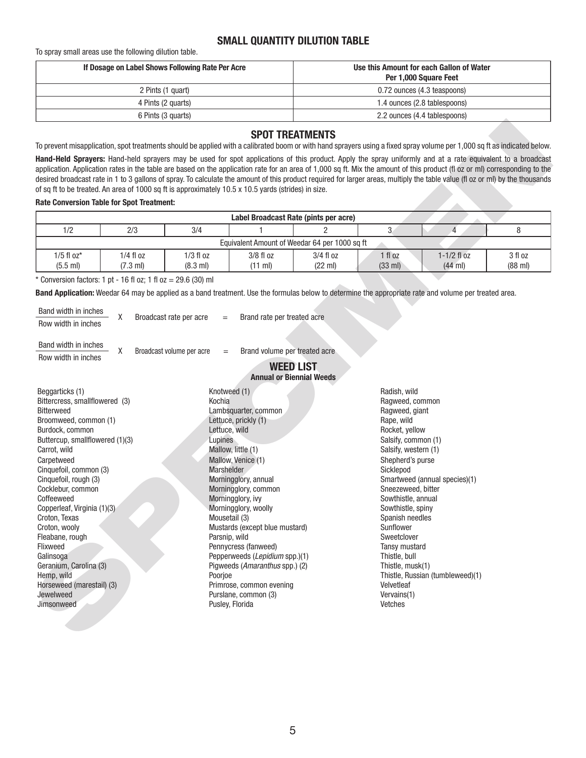## **SMALL QUANTITY DILUTION TABLE**

To spray small areas use the following dilution table.

| If Dosage on Label Shows Following Rate Per Acre | Use this Amount for each Gallon of Water<br>Per 1,000 Square Feet |
|--------------------------------------------------|-------------------------------------------------------------------|
| 2 Pints (1 quart)                                | 0.72 ounces (4.3 teaspoons)                                       |
| 4 Pints (2 quarts)                               | 1.4 ounces (2.8 tablespoons)                                      |
| 6 Pints (3 quarts)                               | 2.2 ounces (4.4 tablespoons)                                      |

### **SPOT TREATMENTS**

#### **Rate Conversion Table for Spot Treatment:**

| Label Broadcast Rate (pints per acre) |                                               |                    |             |             |                   |                   |                   |
|---------------------------------------|-----------------------------------------------|--------------------|-------------|-------------|-------------------|-------------------|-------------------|
| 1/2                                   | 2/3                                           | 3/4                |             |             |                   |                   |                   |
|                                       | Equivalent Amount of Weedar 64 per 1000 sq ft |                    |             |             |                   |                   |                   |
| $1/5$ fl $oz^*$                       | $1/4$ fl oz                                   | 1/3 fl oz          | $3/8$ fl oz | $3/4$ fl oz | fl oz             | $1 - 1/2$ fl oz   | 3 fl oz           |
| $(5.5 \text{ ml})$                    | $(7.3 \text{ ml})$                            | $(8.3 \text{ ml})$ | (11 ml)     | (22 ml)     | $(33 \text{ ml})$ | $(44 \text{ ml})$ | $(88 \text{ ml})$ |

| Band width in inches |                         |                             |
|----------------------|-------------------------|-----------------------------|
| Row width in inches  | Broadcast rate per acre | Brand rate per treated acre |

|  |  | <b>Annual or Biennial Weeds</b> |  |
|--|--|---------------------------------|--|
|--|--|---------------------------------|--|

|                                                                                                                                                                                                                                                                                                                                                                                                                                                                                        |                                   |                                                                                                               |                                                                                                                                                                                                                                                                                                                                                                                            | <b>SPOT TREATMENTS</b>                              |                                                                                                                                                                                                                                                                                                                                                                                                                                                                                                                             |                                                                   |                              |
|----------------------------------------------------------------------------------------------------------------------------------------------------------------------------------------------------------------------------------------------------------------------------------------------------------------------------------------------------------------------------------------------------------------------------------------------------------------------------------------|-----------------------------------|---------------------------------------------------------------------------------------------------------------|--------------------------------------------------------------------------------------------------------------------------------------------------------------------------------------------------------------------------------------------------------------------------------------------------------------------------------------------------------------------------------------------|-----------------------------------------------------|-----------------------------------------------------------------------------------------------------------------------------------------------------------------------------------------------------------------------------------------------------------------------------------------------------------------------------------------------------------------------------------------------------------------------------------------------------------------------------------------------------------------------------|-------------------------------------------------------------------|------------------------------|
|                                                                                                                                                                                                                                                                                                                                                                                                                                                                                        |                                   |                                                                                                               |                                                                                                                                                                                                                                                                                                                                                                                            |                                                     | To prevent misapplication, spot treatments should be applied with a calibrated boom or with hand sprayers using a fixed spray volume per 1,000 sq ft as indicated below.                                                                                                                                                                                                                                                                                                                                                    |                                                                   |                              |
| of sq ft to be treated. An area of 1000 sq ft is approximately 10.5 x 10.5 yards (strides) in size.                                                                                                                                                                                                                                                                                                                                                                                    |                                   |                                                                                                               |                                                                                                                                                                                                                                                                                                                                                                                            |                                                     | Hand-Held Sprayers: Hand-held sprayers may be used for spot applications of this product. Apply the spray uniformly and at a rate equivalent to a broadcast<br>application. Application rates in the table are based on the application rate for an area of 1,000 sq ft. Mix the amount of this product (fl oz or ml) corresponding to the<br>desired broadcast rate in 1 to 3 gallons of spray. To calculate the amount of this product required for larger areas, multiply the table value (fl oz or ml) by the thousands |                                                                   |                              |
| <b>Rate Conversion Table for Spot Treatment:</b>                                                                                                                                                                                                                                                                                                                                                                                                                                       |                                   |                                                                                                               |                                                                                                                                                                                                                                                                                                                                                                                            |                                                     |                                                                                                                                                                                                                                                                                                                                                                                                                                                                                                                             |                                                                   |                              |
|                                                                                                                                                                                                                                                                                                                                                                                                                                                                                        |                                   |                                                                                                               | Label Broadcast Rate (pints per acre)                                                                                                                                                                                                                                                                                                                                                      |                                                     |                                                                                                                                                                                                                                                                                                                                                                                                                                                                                                                             |                                                                   |                              |
| 1/2                                                                                                                                                                                                                                                                                                                                                                                                                                                                                    | 2/3                               | 3/4                                                                                                           |                                                                                                                                                                                                                                                                                                                                                                                            | $\mathfrak{p}$                                      | 3                                                                                                                                                                                                                                                                                                                                                                                                                                                                                                                           | $\overline{4}$                                                    | 8                            |
|                                                                                                                                                                                                                                                                                                                                                                                                                                                                                        |                                   |                                                                                                               | Equivalent Amount of Weedar 64 per 1000 sq ft                                                                                                                                                                                                                                                                                                                                              |                                                     |                                                                                                                                                                                                                                                                                                                                                                                                                                                                                                                             |                                                                   |                              |
| $1/5$ fl $oz*$<br>$(5.5 \text{ ml})$                                                                                                                                                                                                                                                                                                                                                                                                                                                   | $1/4$ fl oz<br>$(7.3 \text{ ml})$ | $1/3$ fl oz<br>$(8.3 \text{ ml})$                                                                             | $3/8$ fl $oz$<br>(11 ml)                                                                                                                                                                                                                                                                                                                                                                   | $3/4$ fl $oz$<br>(22 ml)                            | $1$ fl $oz$<br>(33 ml)                                                                                                                                                                                                                                                                                                                                                                                                                                                                                                      | $1-1/2$ fl oz<br>$(44$ ml)                                        | 3 fl oz<br>$(88 \text{ ml})$ |
| * Conversion factors: 1 pt - 16 fl oz; 1 fl oz = $29.6$ (30) ml                                                                                                                                                                                                                                                                                                                                                                                                                        |                                   |                                                                                                               |                                                                                                                                                                                                                                                                                                                                                                                            |                                                     |                                                                                                                                                                                                                                                                                                                                                                                                                                                                                                                             |                                                                   |                              |
|                                                                                                                                                                                                                                                                                                                                                                                                                                                                                        |                                   |                                                                                                               |                                                                                                                                                                                                                                                                                                                                                                                            |                                                     | Band Application: Weedar 64 may be applied as a band treatment. Use the formulas below to determine the appropriate rate and volume per treated area.                                                                                                                                                                                                                                                                                                                                                                       |                                                                   |                              |
|                                                                                                                                                                                                                                                                                                                                                                                                                                                                                        |                                   |                                                                                                               |                                                                                                                                                                                                                                                                                                                                                                                            |                                                     |                                                                                                                                                                                                                                                                                                                                                                                                                                                                                                                             |                                                                   |                              |
| Band width in inches                                                                                                                                                                                                                                                                                                                                                                                                                                                                   | X                                 | Broadcast rate per acre<br>$=$                                                                                | Brand rate per treated acre                                                                                                                                                                                                                                                                                                                                                                |                                                     |                                                                                                                                                                                                                                                                                                                                                                                                                                                                                                                             |                                                                   |                              |
| Row width in inches                                                                                                                                                                                                                                                                                                                                                                                                                                                                    |                                   |                                                                                                               |                                                                                                                                                                                                                                                                                                                                                                                            |                                                     |                                                                                                                                                                                                                                                                                                                                                                                                                                                                                                                             |                                                                   |                              |
| Band width in inches                                                                                                                                                                                                                                                                                                                                                                                                                                                                   |                                   |                                                                                                               |                                                                                                                                                                                                                                                                                                                                                                                            |                                                     |                                                                                                                                                                                                                                                                                                                                                                                                                                                                                                                             |                                                                   |                              |
| Row width in inches                                                                                                                                                                                                                                                                                                                                                                                                                                                                    | X                                 | Broadcast volume per acre<br>$\displaystyle \qquad \qquad =\qquad \qquad$                                     | Brand volume per treated acre                                                                                                                                                                                                                                                                                                                                                              |                                                     |                                                                                                                                                                                                                                                                                                                                                                                                                                                                                                                             |                                                                   |                              |
|                                                                                                                                                                                                                                                                                                                                                                                                                                                                                        |                                   |                                                                                                               |                                                                                                                                                                                                                                                                                                                                                                                            | <b>WEED LIST</b><br><b>Annual or Biennial Weeds</b> |                                                                                                                                                                                                                                                                                                                                                                                                                                                                                                                             |                                                                   |                              |
| Beggarticks (1)<br>Bittercress, smallflowered (3)<br><b>Bitterweed</b><br>Broomweed, common (1)<br>Burdock, common<br>Buttercup, smallflowered (1)(3)<br>Carrot, wild<br>Carpetweed<br>Cinquefoil, common (3)<br>Cinquefoil, rough (3)<br>Cocklebur, common<br>Coffeeweed<br>Copperleaf, Virginia (1)(3)<br>Croton, Texas<br>Croton, wooly<br>Fleabane, rough<br>Flixweed<br>Galinsoga<br>Geranium, Carolina (3)<br>Hemp, wild<br>Horseweed (marestail) (3)<br>Jewelweed<br>Jimsonweed |                                   | Knotweed (1)<br>Kochia<br>Lettuce, wild<br>Lupines<br>Marshelder<br>Mousetail (3)<br>Parsnip, wild<br>Poorjoe | Lambsquarter, common<br>Lettuce, prickly (1)<br>Mallow, little (1)<br>Mallow, Venice (1)<br>Morningglory, annual<br>Morningglory, common<br>Morningglory, ivy<br>Morningglory, woolly<br>Mustards (except blue mustard)<br>Pennycress (fanweed)<br>Pepperweeds (Lepidium spp.)(1)<br>Pigweeds (Amaranthus spp.) (2)<br>Primrose, common evening<br>Purslane, common (3)<br>Pusley, Florida |                                                     | Radish, wild<br>Ragweed, common<br>Ragweed, giant<br>Rape, wild<br>Rocket, yellow<br>Salsify, common (1)<br>Salsify, western (1)<br>Shepherd's purse<br>Sicklepod<br>Sneezeweed, bitter<br>Sowthistle, annual<br>Sowthistle, spiny<br>Spanish needles<br>Sunflower<br>Sweetclover<br>Tansy mustard<br>Thistle, bull<br>Thistle, musk(1)<br>Velvetleaf<br>Vervains(1)<br>Vetches                                                                                                                                             | Smartweed (annual species)(1)<br>Thistle, Russian (tumbleweed)(1) |                              |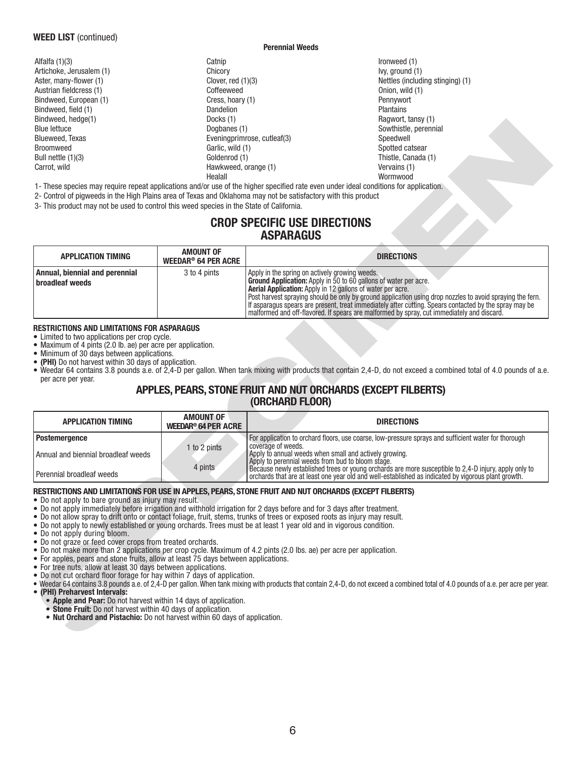### **WEED LIST** (continued)

#### **Perennial Weeds**

- Alfalfa (1)(3) Catnip Ironweed (1) Artichoke, Jerusalem (1)  $\begin{array}{ccc} \text{Chicory} & \text{Chicory} \\ \text{Aster, many-flower (1)} & \text{Oover, red (1)(3)} \end{array}$ Aster, many-flower (1) Clover, red (1)(3) Clover, red (1)(3) Nettles (including stinging) (1) Austrian fi eldcress (1) Coffeeweed Onion, wild (1) Bindweed, European (1) <br>Bindweed, field (1) The Cress, hoary (1) Cress, hoary (1) Pennyworth Plantains<br>Dandelion Plantains Bindweed, field (1) Bindweed, hedge(1) The control of the control blocks (1) Cocks (1) Ragwort, tansy (1) Ragwort, tansy (1) Blue lettuce **Southistle, perennial** Dogbanes (1) Sowthistle, perennial Sowthistle, perennial Blueweed, Texas Eveningprimrose, cutleaf(3) Speedwell Broomweed Garlic, wild (1) Spotted catsear Bull nettle (1)(3) **Bull nettle (1)** Goldenrod (1) **Thistle, Canada (1)** Thistle, Canada (1) Carrot, wild Hawkweed, orange (1) Vervains (1) Healall Wormwood
	-

## **CROP SPECIFIC USE DIRECTIONS ASPARAGUS**

| <b>Blue lettuce</b><br>Blueweed, Texas                                                                                    | Dogbanes (1)                                              | Sowthistle, perennial<br>Eveningprimrose, cutleaf(3)<br>Speedwell                                                                                                                                                                                                                                                                                                                                                                                                                                     |  |  |  |
|---------------------------------------------------------------------------------------------------------------------------|-----------------------------------------------------------|-------------------------------------------------------------------------------------------------------------------------------------------------------------------------------------------------------------------------------------------------------------------------------------------------------------------------------------------------------------------------------------------------------------------------------------------------------------------------------------------------------|--|--|--|
| <b>Broomweed</b>                                                                                                          |                                                           | Spotted catsear                                                                                                                                                                                                                                                                                                                                                                                                                                                                                       |  |  |  |
| Bull nettle (1)(3)                                                                                                        | Garlic, wild (1)<br>Goldenrod (1)                         |                                                                                                                                                                                                                                                                                                                                                                                                                                                                                                       |  |  |  |
| Carrot, wild                                                                                                              | Hawkweed, orange (1)                                      | Thistle, Canada (1)<br>Vervains (1)                                                                                                                                                                                                                                                                                                                                                                                                                                                                   |  |  |  |
|                                                                                                                           | Healall                                                   | Wormwood                                                                                                                                                                                                                                                                                                                                                                                                                                                                                              |  |  |  |
|                                                                                                                           |                                                           | 1- These species may require repeat applications and/or use of the higher specified rate even under ideal conditions for application.                                                                                                                                                                                                                                                                                                                                                                 |  |  |  |
|                                                                                                                           |                                                           | 2- Control of pigweeds in the High Plains area of Texas and Oklahoma may not be satisfactory with this product                                                                                                                                                                                                                                                                                                                                                                                        |  |  |  |
| 3- This product may not be used to control this weed species in the State of California.                                  |                                                           |                                                                                                                                                                                                                                                                                                                                                                                                                                                                                                       |  |  |  |
|                                                                                                                           |                                                           |                                                                                                                                                                                                                                                                                                                                                                                                                                                                                                       |  |  |  |
| <b>CROP SPECIFIC USE DIRECTIONS</b><br><b>ASPARAGUS</b>                                                                   |                                                           |                                                                                                                                                                                                                                                                                                                                                                                                                                                                                                       |  |  |  |
| <b>APPLICATION TIMING</b>                                                                                                 | <b>AMOUNT OF</b><br><b>WEEDAR<sup>®</sup> 64 PER ACRE</b> | <b>DIRECTIONS</b>                                                                                                                                                                                                                                                                                                                                                                                                                                                                                     |  |  |  |
| Annual, biennial and perennial<br>broadleaf weeds                                                                         | 3 to 4 pints                                              | Apply in the spring on actively growing weeds.<br>Ground Application: Apply in 50 to 60 gallons of water per acre.<br>Aerial Application: Apply in 12 gallons of water per acre.<br>Post harvest spraying should be only by ground application using drop nozzles to avoid spraying the fern.<br>If asparagus spears are present, treat immediately after cutting. Spears contacted by the spray may be<br>malformed and off-flavored. If spears are malformed by spray, cut immediately and discard. |  |  |  |
| • Maximum of 4 pints (2.0 lb. ae) per acre per application.                                                               |                                                           |                                                                                                                                                                                                                                                                                                                                                                                                                                                                                                       |  |  |  |
| • Minimum of 30 days between applications.<br>• (PHI) Do not harvest within 30 days of application.<br>per acre per year. |                                                           | • Weedar 64 contains 3.8 pounds a.e. of 2,4-D per gallon. When tank mixing with products that contain 2,4-D, do not exceed a combined total of 4.0 pounds of a.e.<br>APPLES, PEARS, STONE FRUIT AND NUT ORCHARDS (EXCEPT FILBERTS)                                                                                                                                                                                                                                                                    |  |  |  |
| <b>APPLICATION TIMING</b>                                                                                                 | <b>AMOUNT OF</b>                                          | (ORCHARD FLOOR)<br><b>DIRECTIONS</b>                                                                                                                                                                                                                                                                                                                                                                                                                                                                  |  |  |  |
|                                                                                                                           | <b>WEEDAR<sup>®</sup> 64 PER ACRE</b>                     |                                                                                                                                                                                                                                                                                                                                                                                                                                                                                                       |  |  |  |
| <b>Postemergence</b><br>Annual and biennial broadleaf weeds                                                               | 1 to 2 pints                                              | For application to orchard floors, use coarse, low-pressure sprays and sufficient water for thorough<br>coverage of weeds.<br>Apply to annual weeds when small and actively growing.                                                                                                                                                                                                                                                                                                                  |  |  |  |
| Perennial broadleaf weeds                                                                                                 | 4 pints                                                   | Apply to perennial weeds from bud to bloom stage.<br>Because newly established trees or young orchards are more susceptible to 2,4-D injury, apply only to orchards that are at least one year old and well-established as indicated by vigorous plant growth.<br>RESTRICTIONS AND LIMITATIONS FOR USE IN APPLES, PEARS, STONE FRUIT AND NUT ORCHARDS (EXCEPT FILBERTS)                                                                                                                               |  |  |  |

### **RESTRICTIONS AND LIMITATIONS FOR ASPARAGUS**

## **APPLES, PEARS, STONE FRUIT AND NUT ORCHARDS (EXCEPT FILBERTS) (ORCHARD FLOOR)**

| <b>APPLICATION TIMING</b>           | <b>AMOUNT OF</b><br>WEEDAR <sup>®</sup> 64 PER ACRE | <b>DIRECTIONS</b>                                                                                                                                                                                            |
|-------------------------------------|-----------------------------------------------------|--------------------------------------------------------------------------------------------------------------------------------------------------------------------------------------------------------------|
| Postemergence                       |                                                     | For application to orchard floors, use coarse, low-pressure sprays and sufficient water for thorough<br>I coverage of weeds.                                                                                 |
| Annual and biennial broadleaf weeds | 1 to 2 pints                                        | Apply to annual weeds when small and actively growing.<br>Apply to perennial weeds from bud to bloom stage.                                                                                                  |
| Perennial broadleaf weeds           | 4 pints                                             | Because newly established trees or young orchards are more susceptible to 2,4-D injury, apply only to<br>orchards that are at least one year old and well-established as indicated by vigorous plant growth. |

### **RESTRICTIONS AND LIMITATIONS FOR USE IN APPLES, PEARS, STONE FRUIT AND NUT ORCHARDS (EXCEPT FILBERTS)**

- Do not apply immediately before irrigation and withhold irrigation for 2 days before and for 3 days after treatment.
- Do not allow spray to drift onto or contact foliage, fruit, stems, trunks of trees or exposed roots as injury may result.
- Do not apply to newly established or young orchards. Trees must be at least 1 year old and in vigorous condition.
- Do not apply during bloom.
- Do not graze or feed cover crops from treated orchards.
- Do not make more than 2 applications per crop cycle. Maximum of 4.2 pints (2.0 lbs. ae) per acre per application.
- For apples, pears and stone fruits, allow at least 75 days between applications.
- For tree nuts, allow at least 30 days between applications.
- Do not cut orchard floor forage for hay within 7 days of application.
- Weedar 64 contains 3.8 pounds a.e. of 2,4-D per gallon. When tank mixing with products that contain 2,4-D, do not exceed a combined total of 4.0 pounds of a.e. per acre per year. • **(PHI) Preharvest Intervals:**
	- **Apple and Pear:** Do not harvest within 14 days of application.
	- **Stone Fruit:** Do not harvest within 40 days of application.
	- **Nut Orchard and Pistachio:** Do not harvest within 60 days of application.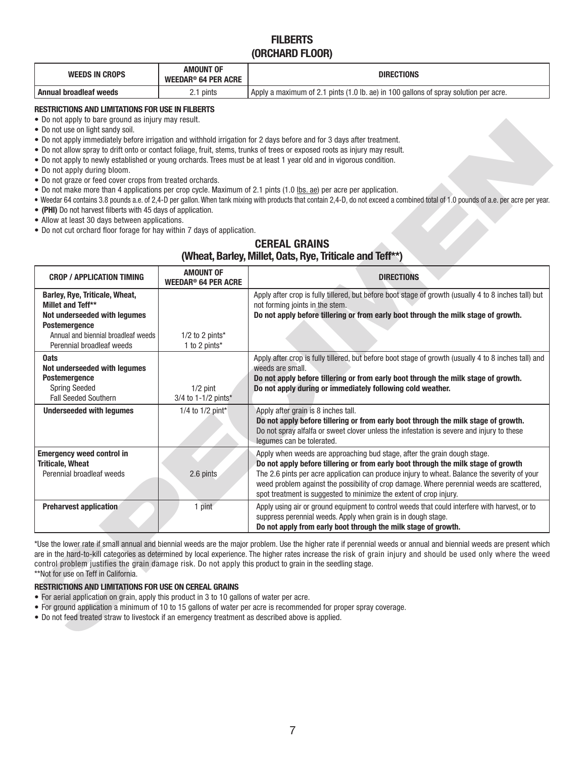## **FILBERTS (ORCHARD FLOOR)**

| WEEDS IN CROPS         | <b>AMOUNT OF</b><br><b>WEEDAR<sup>®</sup> 64 PER ACRE</b> | <b>DIRECTIONS</b>                                                                                 |
|------------------------|-----------------------------------------------------------|---------------------------------------------------------------------------------------------------|
| Annual broadleaf weeds | 2.1 pints                                                 | pints (1.0 lb. ae) in 100 gallons of spray solution per acre.<br>I Apply a maximum of 2.1 $\mu$ . |

### **RESTRICTIONS AND LIMITATIONS FOR USE IN FILBERTS**

- Do not apply to bare ground as injury may result.
- Do not use on light sandy soil.
- Do not apply immediately before irrigation and withhold irrigation for 2 days before and for 3 days after treatment.
- Do not allow spray to drift onto or contact foliage, fruit, stems, trunks of trees or exposed roots as injury may result.
- Do not apply to newly established or young orchards. Trees must be at least 1 year old and in vigorous condition.
- Do not apply during bloom.
- Do not graze or feed cover crops from treated orchards.
- Do not make more than 4 applications per crop cycle. Maximum of 2.1 pints (1.0 lbs. ae) per acre per application.
- Weedar 64 contains 3.8 pounds a.e. of 2,4-D per gallon. When tank mixing with products that contain 2,4-D, do not exceed a combined total of 1.0 pounds of a.e. per acre per year.
- (PHI) Do not harvest filberts with 45 days of application.
- Allow at least 30 days between applications.
- Do not cut orchard floor forage for hay within 7 days of application.

## **CEREAL GRAINS (Wheat, Barley, Millet, Oats, Rye, Triticale and Teff\*\*)**

| $\bullet$ Do not apply to bare ground as injury may result.<br>• Do not use on light sandy soil.<br>• Do not apply during bloom.<br>• Do not graze or feed cover crops from treated orchards.<br>• (PHI) Do not harvest filberts with 45 days of application.<br>• Allow at least 30 days between applications.<br>• Do not cut orchard floor forage for hay within 7 days of application. |                                       | . Do not apply immediately before irrigation and withhold irrigation for 2 days before and for 3 days after treatment.<br>. Do not allow spray to drift onto or contact foliage, fruit, stems, trunks of trees or exposed roots as injury may result.<br>. Do not apply to newly established or young orchards. Trees must be at least 1 year old and in vigorous condition.<br>• Do not make more than 4 applications per crop cycle. Maximum of 2.1 pints (1.0 lbs. ae) per acre per application.<br>. Weedar 64 contains 3.8 pounds a.e. of 2,4-D per gallon. When tank mixing with products that contain 2,4-D, do not exceed a combined total of 1.0 pounds of a.e. per acre per year.<br><b>CEREAL GRAINS</b> |  |  |  |
|--------------------------------------------------------------------------------------------------------------------------------------------------------------------------------------------------------------------------------------------------------------------------------------------------------------------------------------------------------------------------------------------|---------------------------------------|---------------------------------------------------------------------------------------------------------------------------------------------------------------------------------------------------------------------------------------------------------------------------------------------------------------------------------------------------------------------------------------------------------------------------------------------------------------------------------------------------------------------------------------------------------------------------------------------------------------------------------------------------------------------------------------------------------------------|--|--|--|
|                                                                                                                                                                                                                                                                                                                                                                                            | <b>AMOUNT OF</b>                      | (Wheat, Barley, Millet, Oats, Rye, Triticale and Teff**)                                                                                                                                                                                                                                                                                                                                                                                                                                                                                                                                                                                                                                                            |  |  |  |
| <b>CROP / APPLICATION TIMING</b><br>Barley, Rye, Triticale, Wheat,<br>Millet and Teff**<br>Not underseeded with legumes<br><b>Postemergence</b>                                                                                                                                                                                                                                            | <b>WEEDAR<sup>®</sup> 64 PER ACRE</b> | <b>DIRECTIONS</b><br>Apply after crop is fully tillered, but before boot stage of growth (usually 4 to 8 inches tall) but<br>not forming joints in the stem.<br>Do not apply before tillering or from early boot through the milk stage of growth.                                                                                                                                                                                                                                                                                                                                                                                                                                                                  |  |  |  |
| Annual and biennial broadleaf weeds<br>Perennial broadleaf weeds                                                                                                                                                                                                                                                                                                                           | $1/2$ to 2 pints*<br>1 to 2 pints*    |                                                                                                                                                                                                                                                                                                                                                                                                                                                                                                                                                                                                                                                                                                                     |  |  |  |
| <b>Oats</b><br>Not underseeded with legumes<br>Postemergence<br><b>Spring Seeded</b><br><b>Fall Seeded Southern</b>                                                                                                                                                                                                                                                                        | $1/2$ pint<br>3/4 to 1-1/2 pints*     | Apply after crop is fully tillered, but before boot stage of growth (usually 4 to 8 inches tall) and<br>weeds are small.<br>Do not apply before tillering or from early boot through the milk stage of growth.<br>Do not apply during or immediately following cold weather.                                                                                                                                                                                                                                                                                                                                                                                                                                        |  |  |  |
| <b>Underseeded with legumes</b>                                                                                                                                                                                                                                                                                                                                                            | 1/4 to 1/2 pint*                      | Apply after grain is 8 inches tall.<br>Do not apply before tillering or from early boot through the milk stage of growth.<br>Do not spray alfalfa or sweet clover unless the infestation is severe and injury to these<br>legumes can be tolerated.                                                                                                                                                                                                                                                                                                                                                                                                                                                                 |  |  |  |
| <b>Emergency weed control in</b><br><b>Triticale, Wheat</b><br>Perennial broadleaf weeds                                                                                                                                                                                                                                                                                                   | 2.6 pints                             | Apply when weeds are approaching bud stage, after the grain dough stage.<br>Do not apply before tillering or from early boot through the milk stage of growth<br>The 2.6 pints per acre application can produce injury to wheat. Balance the severity of your<br>weed problem against the possibility of crop damage. Where perennial weeds are scattered,<br>spot treatment is suggested to minimize the extent of crop injury.                                                                                                                                                                                                                                                                                    |  |  |  |
| <b>Preharvest application</b><br>1 pint<br>Apply using air or ground equipment to control weeds that could interfere with harvest, or to<br>suppress perennial weeds. Apply when grain is in dough stage.<br>Do not apply from early boot through the milk stage of growth.                                                                                                                |                                       |                                                                                                                                                                                                                                                                                                                                                                                                                                                                                                                                                                                                                                                                                                                     |  |  |  |
| **Not for use on Teff in California.<br><b>RESTRICTIONS AND LIMITATIONS FOR USE ON CEREAL GRAINS</b><br>• For aerial application on grain, apply this product in 3 to 10 gallons of water per acre.<br>. Do not feed treated straw to livestock if an emergency treatment as described above is applied.                                                                                   |                                       | *Use the lower rate if small annual and biennial weeds are the major problem. Use the higher rate if perennial weeds or annual and biennial weeds are present which<br>are in the hard-to-kill categories as determined by local experience. The higher rates increase the risk of grain injury and should be used only where the weed<br>control problem justifies the grain damage risk. Do not apply this product to grain in the seedling stage.<br>• For ground application a minimum of 10 to 15 gallons of water per acre is recommended for proper spray coverage.                                                                                                                                          |  |  |  |

### **RESTRICTIONS AND LIMITATIONS FOR USE ON CEREAL GRAINS**

- For aerial application on grain, apply this product in 3 to 10 gallons of water per acre.
- For ground application a minimum of 10 to 15 gallons of water per acre is recommended for proper spray coverage.
- Do not feed treated straw to livestock if an emergency treatment as described above is applied.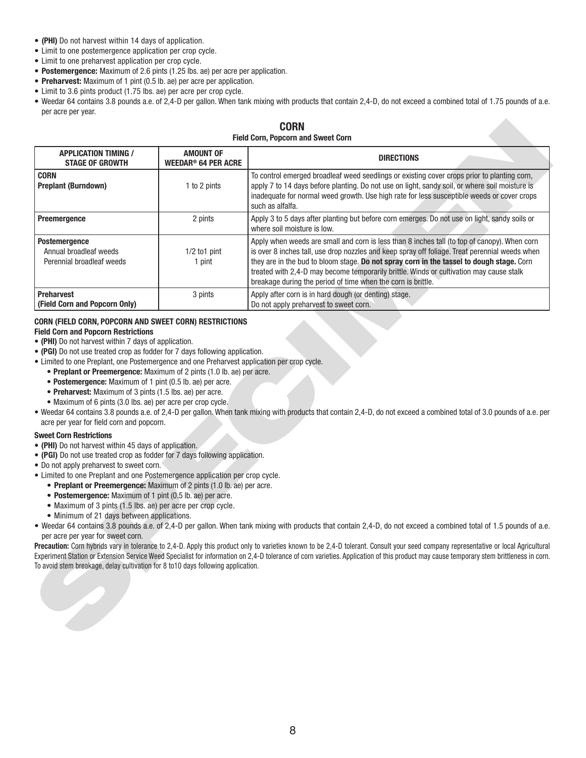- **(PHI)** Do not harvest within 14 days of application.
- Limit to one postemergence application per crop cycle.
- Limit to one preharvest application per crop cycle.
- **Postemergence:** Maximum of 2.6 pints (1.25 lbs. ae) per acre per application.
- **Preharvest:** Maximum of 1 pint (0.5 lb. ae) per acre per application.
- Limit to 3.6 pints product (1.75 lbs. ae) per acre per crop cycle.
- Weedar 64 contains 3.8 pounds a.e. of 2,4-D per gallon. When tank mixing with products that contain 2,4-D, do not exceed a combined total of 1.75 pounds of a.e. per acre per year.

### **CORN Field Corn, Popcorn and Sweet Corn**

|                                                                                                                                                                                                                                                                                                                                                                                                                                                                                                                                                                                                                                                                                                                                                                                                                                                                                                                                                                                                                                                                                                                                                                            |                                                           | <b>CORN</b><br><b>Field Corn, Popcorn and Sweet Corn</b>                                                                                                                                                                                                                                                                                                                                                                                                                                                                                                                                                                                                                                                                      |
|----------------------------------------------------------------------------------------------------------------------------------------------------------------------------------------------------------------------------------------------------------------------------------------------------------------------------------------------------------------------------------------------------------------------------------------------------------------------------------------------------------------------------------------------------------------------------------------------------------------------------------------------------------------------------------------------------------------------------------------------------------------------------------------------------------------------------------------------------------------------------------------------------------------------------------------------------------------------------------------------------------------------------------------------------------------------------------------------------------------------------------------------------------------------------|-----------------------------------------------------------|-------------------------------------------------------------------------------------------------------------------------------------------------------------------------------------------------------------------------------------------------------------------------------------------------------------------------------------------------------------------------------------------------------------------------------------------------------------------------------------------------------------------------------------------------------------------------------------------------------------------------------------------------------------------------------------------------------------------------------|
| <b>APPLICATION TIMING /</b><br><b>STAGE OF GROWTH</b>                                                                                                                                                                                                                                                                                                                                                                                                                                                                                                                                                                                                                                                                                                                                                                                                                                                                                                                                                                                                                                                                                                                      | <b>AMOUNT OF</b><br><b>WEEDAR<sup>®</sup> 64 PER ACRE</b> | <b>DIRECTIONS</b>                                                                                                                                                                                                                                                                                                                                                                                                                                                                                                                                                                                                                                                                                                             |
| <b>CORN</b><br><b>Preplant (Burndown)</b>                                                                                                                                                                                                                                                                                                                                                                                                                                                                                                                                                                                                                                                                                                                                                                                                                                                                                                                                                                                                                                                                                                                                  | 1 to 2 pints                                              | To control emerged broadleaf weed seedlings or existing cover crops prior to planting corn,<br>apply 7 to 14 days before planting. Do not use on light, sandy soil, or where soil moisture is<br>inadequate for normal weed growth. Use high rate for less susceptible weeds or cover crops<br>such as alfalfa.                                                                                                                                                                                                                                                                                                                                                                                                               |
| <b>Preemergence</b>                                                                                                                                                                                                                                                                                                                                                                                                                                                                                                                                                                                                                                                                                                                                                                                                                                                                                                                                                                                                                                                                                                                                                        | 2 pints                                                   | Apply 3 to 5 days after planting but before corn emerges. Do not use on light, sandy soils or<br>where soil moisture is low.                                                                                                                                                                                                                                                                                                                                                                                                                                                                                                                                                                                                  |
| <b>Postemergence</b><br>Annual broadleaf weeds<br>Perennial broadleaf weeds                                                                                                                                                                                                                                                                                                                                                                                                                                                                                                                                                                                                                                                                                                                                                                                                                                                                                                                                                                                                                                                                                                | $1/2$ to 1 pint<br>1 pint                                 | Apply when weeds are small and corn is less than 8 inches tall (to top of canopy). When corn<br>is over 8 inches tall, use drop nozzles and keep spray off foliage. Treat perennial weeds when<br>they are in the bud to bloom stage. Do not spray corn in the tassel to dough stage. Corn<br>treated with 2,4-D may become temporarily brittle. Winds or cultivation may cause stalk<br>breakage during the period of time when the corn is brittle.                                                                                                                                                                                                                                                                         |
| <b>Preharvest</b><br>(Field Corn and Popcorn Only)                                                                                                                                                                                                                                                                                                                                                                                                                                                                                                                                                                                                                                                                                                                                                                                                                                                                                                                                                                                                                                                                                                                         | 3 pints                                                   | Apply after corn is in hard dough (or denting) stage.<br>Do not apply preharvest to sweet corn.                                                                                                                                                                                                                                                                                                                                                                                                                                                                                                                                                                                                                               |
| • (PGI) Do not use treated crop as fodder for 7 days following application.<br>• Limited to one Preplant, one Postemergence and one Preharvest application per crop cycle.<br>• Preplant or Preemergence: Maximum of 2 pints (1.0 lb. ae) per acre.<br>• Postemergence: Maximum of 1 pint (0.5 lb. ae) per acre.<br>• Preharvest: Maximum of 3 pints (1.5 lbs. ae) per acre.<br>• Maximum of 6 pints (3.0 lbs. ae) per acre per crop cycle.<br>acre per year for field corn and popcorn.<br><b>Sweet Corn Restrictions</b><br>• (PHI) Do not harvest within 45 days of application.<br>• (PGI) Do not use treated crop as fodder for 7 days following application.<br>. Do not apply preharvest to sweet corn.<br>• Limited to one Preplant and one Postemergence application per crop cycle.<br>• Preplant or Preemergence: Maximum of 2 pints (1.0 lb. ae) per acre.<br>• Postemergence: Maximum of 1 pint (0.5 lb. ae) per acre.<br>• Maximum of 3 pints (1.5 lbs. ae) per acre per crop cycle.<br>• Minimum of 21 days between applications.<br>per acre per year for sweet corn.<br>To avoid stem breakage, delay cultivation for 8 to 10 days following application. |                                                           | • Weedar 64 contains 3.8 pounds a.e. of 2,4-D per gallon. When tank mixing with products that contain 2,4-D, do not exceed a combined total of 3.0 pounds of a.e. per<br>. Weedar 64 contains 3.8 pounds a.e. of 2,4-D per gallon. When tank mixing with products that contain 2,4-D, do not exceed a combined total of 1.5 pounds of a.e.<br>Precaution: Corn hybrids vary in tolerance to 2,4-D. Apply this product only to varieties known to be 2,4-D tolerant. Consult your seed company representative or local Agricultural<br>Experiment Station or Extension Service Weed Specialist for information on 2,4-D tolerance of corn varieties. Application of this product may cause temporary stem brittleness in corn. |

### **CORN (FIELD CORN, POPCORN AND SWEET CORN) RESTRICTIONS**

### **Field Corn and Popcorn Restrictions**

- **(PHI)** Do not harvest within 7 days of application.
- **(PGI)** Do not use treated crop as fodder for 7 days following application.
- Limited to one Preplant, one Postemergence and one Preharvest application per crop cycle.
	- **Preplant or Preemergence:** Maximum of 2 pints (1.0 lb. ae) per acre.
	- **Postemergence:** Maximum of 1 pint (0.5 lb. ae) per acre.
	- **Preharvest:** Maximum of 3 pints (1.5 lbs. ae) per acre.
	- Maximum of 6 pints (3.0 lbs. ae) per acre per crop cycle.
- Weedar 64 contains 3.8 pounds a.e. of 2,4-D per gallon. When tank mixing with products that contain 2,4-D, do not exceed a combined total of 3.0 pounds of a.e. per acre per year for field corn and popcorn.

#### **Sweet Corn Restrictions**

- **(PHI)** Do not harvest within 45 days of application.
- **(PGI)** Do not use treated crop as fodder for 7 days following application.
- Do not apply preharvest to sweet corn.
- Limited to one Preplant and one Postemergence application per crop cycle.
	- **Preplant or Preemergence:** Maximum of 2 pints (1.0 lb. ae) per acre.
	- **Postemergence:** Maximum of 1 pint (0.5 lb. ae) per acre.
	- Maximum of 3 pints (1.5 lbs. ae) per acre per crop cycle.
	- Minimum of 21 days between applications.
- Weedar 64 contains 3.8 pounds a.e. of 2,4-D per gallon. When tank mixing with products that contain 2,4-D, do not exceed a combined total of 1.5 pounds of a.e. per acre per year for sweet corn.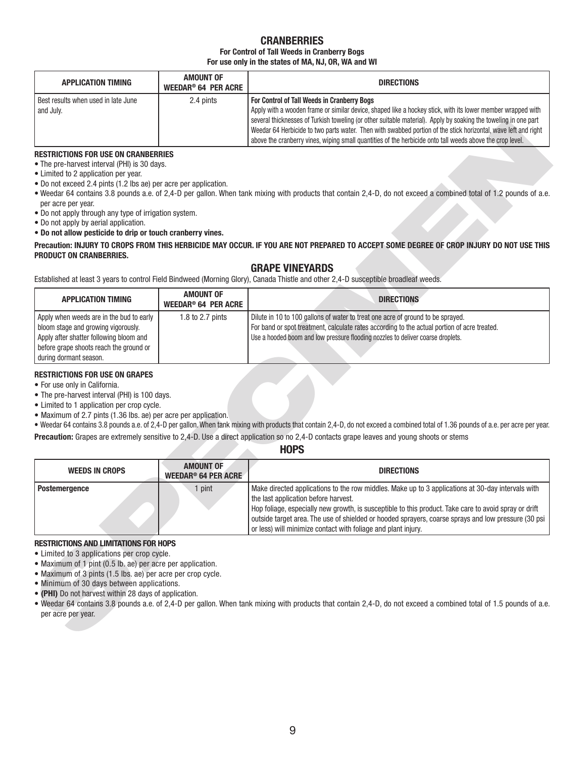## **CRANBERRIES**

#### **For Control of Tall Weeds in Cranberry Bogs For use only in the states of MA, NJ, OR, WA and WI**

| <b>APPLICATION TIMING</b>                        | <b>AMOUNT OF</b><br><b>WEEDAR<sup>®</sup> 64 PER ACRE</b> | <b>DIRECTIONS</b>                                                                                                                                                                                                                                                                                                                                                                                                                                                                                            |
|--------------------------------------------------|-----------------------------------------------------------|--------------------------------------------------------------------------------------------------------------------------------------------------------------------------------------------------------------------------------------------------------------------------------------------------------------------------------------------------------------------------------------------------------------------------------------------------------------------------------------------------------------|
| Best results when used in late June<br>and July. | 2.4 pints                                                 | For Control of Tall Weeds in Cranberry Bogs<br>Apply with a wooden frame or similar device, shaped like a hockey stick, with its lower member wrapped with<br>several thicknesses of Turkish toweling (or other suitable material). Apply by soaking the toweling in one part<br>Weedar 64 Herbicide to two parts water. Then with swabbed portion of the stick horizontal, wave left and right<br>above the cranberry vines, wiping small quantities of the herbicide onto tall weeds above the crop level. |

### **RESTRICTIONS FOR USE ON CRANBERRIES**

- The pre-harvest interval (PHI) is 30 days.
- Limited to 2 application per year.
- Do not exceed 2.4 pints (1.2 lbs ae) per acre per application.
- Weedar 64 contains 3.8 pounds a.e. of 2,4-D per gallon. When tank mixing with products that contain 2,4-D, do not exceed a combined total of 1.2 pounds of a.e. per acre per year.
- Do not apply through any type of irrigation system.
- Do not apply by aerial application.
- **Do not allow pesticide to drip or touch cranberry vines.**

## **GRAPE VINEYARDS**

| <b>APPLICATION TIMING</b>                                                                                                                                                                       | AMOUNT OF<br>WEEDAR <sup>®</sup> 64 PER ACRE | <b>DIRECTIONS</b>                                                                                                                                                                                                                                                  |
|-------------------------------------------------------------------------------------------------------------------------------------------------------------------------------------------------|----------------------------------------------|--------------------------------------------------------------------------------------------------------------------------------------------------------------------------------------------------------------------------------------------------------------------|
| Apply when weeds are in the bud to early<br>bloom stage and growing vigorously.<br>Apply after shatter following bloom and<br>before grape shoots reach the ground or<br>during dormant season. | 1.8 to 2.7 pints                             | Dilute in 10 to 100 gallons of water to treat one acre of ground to be sprayed.<br>For band or spot treatment, calculate rates according to the actual portion of acre treated.<br>Use a hooded boom and low pressure flooding nozzles to deliver coarse droplets. |

### **RESTRICTIONS FOR USE ON GRAPES**

- For use only in California.
- The pre-harvest interval (PHI) is 100 days.
- Limited to 1 application per crop cycle.
- Maximum of 2.7 pints (1.36 lbs. ae) per acre per application.

### **HOPS**

|                                                                                                                                                                                                                                                                                                                                                                                                                                |                                                           | several thicknesses of Turkish toweling (or other suitable material). Apply by soaking the toweling in one part<br>Weedar 64 Herbicide to two parts water. Then with swabbed portion of the stick horizontal, wave left and right<br>above the cranberry vines, wiping small quantities of the herbicide onto tall weeds above the crop level.                                                                             |
|--------------------------------------------------------------------------------------------------------------------------------------------------------------------------------------------------------------------------------------------------------------------------------------------------------------------------------------------------------------------------------------------------------------------------------|-----------------------------------------------------------|----------------------------------------------------------------------------------------------------------------------------------------------------------------------------------------------------------------------------------------------------------------------------------------------------------------------------------------------------------------------------------------------------------------------------|
| <b>RESTRICTIONS FOR USE ON CRANBERRIES</b><br>• The pre-harvest interval (PHI) is 30 days.<br>• Limited to 2 application per year.<br>• Do not exceed 2.4 pints (1.2 lbs ae) per acre per application.<br>per acre per year.<br>. Do not apply through any type of irrigation system.<br>• Do not apply by aerial application.<br>. Do not allow pesticide to drip or touch cranberry vines.<br><b>PRODUCT ON CRANBERRIES.</b> |                                                           | . Weedar 64 contains 3.8 pounds a.e. of 2,4-D per gallon. When tank mixing with products that contain 2,4-D, do not exceed a combined total of 1.2 pounds of a.e.<br>Precaution: INJURY TO CROPS FROM THIS HERBICIDE MAY OCCUR. IF YOU ARE NOT PREPARED TO ACCEPT SOME DEGREE OF CROP INJURY DO NOT USE THIS                                                                                                               |
|                                                                                                                                                                                                                                                                                                                                                                                                                                |                                                           | <b>GRAPE VINEYARDS</b><br>Established at least 3 years to control Field Bindweed (Morning Glory), Canada Thistle and other 2,4-D susceptible broadleaf weeds.                                                                                                                                                                                                                                                              |
| <b>APPLICATION TIMING</b>                                                                                                                                                                                                                                                                                                                                                                                                      | <b>AMOUNT OF</b><br><b>WEEDAR<sup>®</sup> 64 PER ACRE</b> | <b>DIRECTIONS</b>                                                                                                                                                                                                                                                                                                                                                                                                          |
| Apply when weeds are in the bud to early<br>bloom stage and growing vigorously.<br>Apply after shatter following bloom and<br>before grape shoots reach the ground or<br>during dormant season.                                                                                                                                                                                                                                | 1.8 to 2.7 pints                                          | Dilute in 10 to 100 gallons of water to treat one acre of ground to be sprayed.<br>For band or spot treatment, calculate rates according to the actual portion of acre treated.<br>Use a hooded boom and low pressure flooding nozzles to deliver coarse droplets.                                                                                                                                                         |
| <b>RESTRICTIONS FOR USE ON GRAPES</b><br>• For use only in California.<br>• The pre-harvest interval (PHI) is 100 days.<br>• Limited to 1 application per crop cycle.<br>• Maximum of 2.7 pints (1.36 lbs. ae) per acre per application.                                                                                                                                                                                       |                                                           | . Weedar 64 contains 3.8 pounds a.e. of 2,4-D per gallon. When tank mixing with products that contain 2,4-D, do not exceed a combined total of 1.36 pounds of a.e. per acre per year.<br>Precaution: Grapes are extremely sensitive to 2,4-D. Use a direct application so no 2,4-D contacts grape leaves and young shoots or stems<br><b>HOPS</b>                                                                          |
| <b>WEEDS IN CROPS</b>                                                                                                                                                                                                                                                                                                                                                                                                          | <b>AMOUNT OF</b><br><b>WEEDAR<sup>®</sup> 64 PER ACRE</b> | <b>DIRECTIONS</b>                                                                                                                                                                                                                                                                                                                                                                                                          |
| <b>Postemergence</b>                                                                                                                                                                                                                                                                                                                                                                                                           | 1 pint                                                    | Make directed applications to the row middles. Make up to 3 applications at 30-day intervals with<br>the last application before harvest.<br>Hop foliage, especially new growth, is susceptible to this product. Take care to avoid spray or drift<br>outside target area. The use of shielded or hooded sprayers, coarse sprays and low pressure (30 psi<br>or less) will minimize contact with foliage and plant injury. |
| <b>RESTRICTIONS AND LIMITATIONS FOR HOPS</b><br>• Limited to 3 applications per crop cycle.<br>• Maximum of 1 pint (0.5 lb. ae) per acre per application.<br>• Maximum of 3 pints (1.5 lbs. ae) per acre per crop cycle.<br>• Minimum of 30 days between applications.<br>• (PHI) Do not harvest within 28 days of application.<br>per acre per year.                                                                          |                                                           | . Weedar 64 contains 3.8 pounds a.e. of 2,4-D per gallon. When tank mixing with products that contain 2,4-D, do not exceed a combined total of 1.5 pounds of a.e.                                                                                                                                                                                                                                                          |

- Limited to 3 applications per crop cycle.
- Maximum of 1 pint (0.5 lb. ae) per acre per application.
- Maximum of 3 pints (1.5 lbs. ae) per acre per crop cycle.
- Minimum of 30 days between applications.
- **(PHI)** Do not harvest within 28 days of application.
- Weedar 64 contains 3.8 pounds a.e. of 2,4-D per gallon. When tank mixing with products that contain 2,4-D, do not exceed a combined total of 1.5 pounds of a.e. per acre per year.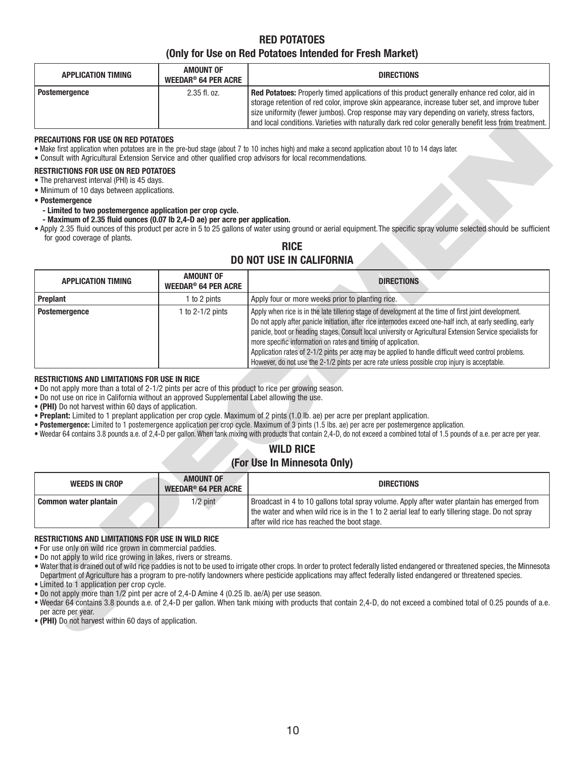## **RED POTATOES (Only for Use on Red Potatoes Intended for Fresh Market)**

| <b>APPLICATION TIMING</b> | AMOUNT OF<br>WEEDAR® 64 PER ACRE | <b>DIRECTIONS</b>                                                                                                                                                                                                                                                                                                                                                                                              |
|---------------------------|----------------------------------|----------------------------------------------------------------------------------------------------------------------------------------------------------------------------------------------------------------------------------------------------------------------------------------------------------------------------------------------------------------------------------------------------------------|
| <b>Postemergence</b>      | $2.35$ fl. oz.                   | <b>Red Potatoes:</b> Properly timed applications of this product generally enhance red color, aid in<br>storage retention of red color, improve skin appearance, increase tuber set, and improve tuber<br>size uniformity (fewer jumbos). Crop response may vary depending on variety, stress factors,<br>and local conditions. Varieties with naturally dark red color generally benefit less from treatment. |

#### **PRECAUTIONS FOR USE ON RED POTATOES**

## **RICE**

## **DO NOT USE IN CALIFORNIA**

|                                                                                                                                                                                                                                                                                                                                                          |                                                                                                                                                                                                                                                                                                                                                                                                                                                                                                                                                                                                                                                                                                                                                                                                 | and local conditions. Varieties with naturally dark red color generally benefit less from treatment.                                                                                                                                                                                                                                                                                                                                                                                                                                                                                                        |  |
|----------------------------------------------------------------------------------------------------------------------------------------------------------------------------------------------------------------------------------------------------------------------------------------------------------------------------------------------------------|-------------------------------------------------------------------------------------------------------------------------------------------------------------------------------------------------------------------------------------------------------------------------------------------------------------------------------------------------------------------------------------------------------------------------------------------------------------------------------------------------------------------------------------------------------------------------------------------------------------------------------------------------------------------------------------------------------------------------------------------------------------------------------------------------|-------------------------------------------------------------------------------------------------------------------------------------------------------------------------------------------------------------------------------------------------------------------------------------------------------------------------------------------------------------------------------------------------------------------------------------------------------------------------------------------------------------------------------------------------------------------------------------------------------------|--|
| PRECAUTIONS FOR USE ON RED POTATOES<br>• Make first application when potatoes are in the pre-bud stage (about 7 to 10 inches high) and make a second application about 10 to 14 days later.<br>. Consult with Agricultural Extension Service and other qualified crop advisors for local recommendations.<br><b>RESTRICTIONS FOR USE ON RED POTATOES</b> |                                                                                                                                                                                                                                                                                                                                                                                                                                                                                                                                                                                                                                                                                                                                                                                                 |                                                                                                                                                                                                                                                                                                                                                                                                                                                                                                                                                                                                             |  |
| • The preharvest interval (PHI) is 45 days.                                                                                                                                                                                                                                                                                                              |                                                                                                                                                                                                                                                                                                                                                                                                                                                                                                                                                                                                                                                                                                                                                                                                 |                                                                                                                                                                                                                                                                                                                                                                                                                                                                                                                                                                                                             |  |
| • Minimum of 10 days between applications.<br>• Postemergence                                                                                                                                                                                                                                                                                            |                                                                                                                                                                                                                                                                                                                                                                                                                                                                                                                                                                                                                                                                                                                                                                                                 |                                                                                                                                                                                                                                                                                                                                                                                                                                                                                                                                                                                                             |  |
| - Limited to two postemergence application per crop cycle.<br>- Maximum of 2.35 fluid ounces (0.07 lb 2,4-D ae) per acre per application.                                                                                                                                                                                                                |                                                                                                                                                                                                                                                                                                                                                                                                                                                                                                                                                                                                                                                                                                                                                                                                 |                                                                                                                                                                                                                                                                                                                                                                                                                                                                                                                                                                                                             |  |
| for good coverage of plants.                                                                                                                                                                                                                                                                                                                             |                                                                                                                                                                                                                                                                                                                                                                                                                                                                                                                                                                                                                                                                                                                                                                                                 | . Apply 2.35 fluid ounces of this product per acre in 5 to 25 gallons of water using ground or aerial equipment. The specific spray volume selected should be sufficient                                                                                                                                                                                                                                                                                                                                                                                                                                    |  |
|                                                                                                                                                                                                                                                                                                                                                          |                                                                                                                                                                                                                                                                                                                                                                                                                                                                                                                                                                                                                                                                                                                                                                                                 | <b>RICE</b>                                                                                                                                                                                                                                                                                                                                                                                                                                                                                                                                                                                                 |  |
|                                                                                                                                                                                                                                                                                                                                                          |                                                                                                                                                                                                                                                                                                                                                                                                                                                                                                                                                                                                                                                                                                                                                                                                 | <b>DO NOT USE IN CALIFORNIA</b>                                                                                                                                                                                                                                                                                                                                                                                                                                                                                                                                                                             |  |
| <b>APPLICATION TIMING</b>                                                                                                                                                                                                                                                                                                                                | <b>AMOUNT OF</b><br><b>WEEDAR<sup>®</sup> 64 PER ACRE</b>                                                                                                                                                                                                                                                                                                                                                                                                                                                                                                                                                                                                                                                                                                                                       | <b>DIRECTIONS</b>                                                                                                                                                                                                                                                                                                                                                                                                                                                                                                                                                                                           |  |
| Preplant                                                                                                                                                                                                                                                                                                                                                 | 1 to 2 pints                                                                                                                                                                                                                                                                                                                                                                                                                                                                                                                                                                                                                                                                                                                                                                                    | Apply four or more weeks prior to planting rice.                                                                                                                                                                                                                                                                                                                                                                                                                                                                                                                                                            |  |
| Postemergence                                                                                                                                                                                                                                                                                                                                            | 1 to $2-1/2$ pints                                                                                                                                                                                                                                                                                                                                                                                                                                                                                                                                                                                                                                                                                                                                                                              | Apply when rice is in the late tillering stage of development at the time of first joint development.<br>Do not apply after panicle initiation, after rice internodes exceed one-half inch, at early seedling, early<br>panicle, boot or heading stages. Consult local university or Agricultural Extension Service specialists for<br>more specific information on rates and timing of application.<br>Application rates of 2-1/2 pints per acre may be applied to handle difficult weed control problems.<br>However, do not use the 2-1/2 pints per acre rate unless possible crop injury is acceptable. |  |
|                                                                                                                                                                                                                                                                                                                                                          | • Do not apply more than a total of 2-1/2 pints per acre of this product to rice per growing season.<br>. Do not use on rice in California without an approved Supplemental Label allowing the use.<br>• (PHI) Do not harvest within 60 days of application.<br>. Preplant: Limited to 1 preplant application per crop cycle. Maximum of 2 pints (1.0 lb. ae) per acre per preplant application.<br>· Postemergence: Limited to 1 postemergence application per crop cycle. Maximum of 3 pints (1.5 lbs. ae) per acre per postemergence application.<br>. Weedar 64 contains 3.8 pounds a.e. of 2,4-D per gallon. When tank mixing with products that contain 2,4-D, do not exceed a combined total of 1.5 pounds of a.e. per acre per year.<br><b>WILD RICE</b><br>(For Use In Minnesota Only) |                                                                                                                                                                                                                                                                                                                                                                                                                                                                                                                                                                                                             |  |
| <b>WEEDS IN CROP</b>                                                                                                                                                                                                                                                                                                                                     | <b>AMOUNT OF</b><br><b>WEEDAR<sup>®</sup> 64 PER ACRE</b>                                                                                                                                                                                                                                                                                                                                                                                                                                                                                                                                                                                                                                                                                                                                       | <b>DIRECTIONS</b>                                                                                                                                                                                                                                                                                                                                                                                                                                                                                                                                                                                           |  |
| Common water plantain                                                                                                                                                                                                                                                                                                                                    | $1/2$ pint                                                                                                                                                                                                                                                                                                                                                                                                                                                                                                                                                                                                                                                                                                                                                                                      | Broadcast in 4 to 10 gallons total spray volume. Apply after water plantain has emerged from<br>the water and when wild rice is in the 1 to 2 aerial leaf to early tillering stage. Do not spray<br>after wild rice has reached the boot stage.                                                                                                                                                                                                                                                                                                                                                             |  |
| <b>RESTRICTIONS AND LIMITATIONS FOR USE IN WILD RICE</b><br>. For use only on wild rice grown in commercial paddies.<br>• Do not apply to wild rice growing in lakes, rivers or streams.<br>• Limited to 1 application per crop cycle.<br>• Do not apply more than 1/2 pint per acre of 2,4-D Amine 4 (0.25 lb. ae/A) per use season.                    |                                                                                                                                                                                                                                                                                                                                                                                                                                                                                                                                                                                                                                                                                                                                                                                                 | • Water that is drained out of wild rice paddies is not to be used to irrigate other crops. In order to protect federally listed endangered or threatened species, the Minnesota<br>Department of Agriculture has a program to pre-notify landowners where pesticide applications may affect federally listed endangered or threatened species.                                                                                                                                                                                                                                                             |  |

### **RESTRICTIONS AND LIMITATIONS FOR USE IN RICE**

- **Postemergence:** Limited to 1 postemergence application per crop cycle. Maximum of 3 pints (1.5 lbs. ae) per acre per postemergence application.
- Weedar 64 contains 3.8 pounds a.e. of 2,4-D per gallon. When tank mixing with products that contain 2,4-D, do not exceed a combined total of 1.5 pounds of a.e. per acre per year.

## **WILD RICE (For Use In Minnesota Only)**

| <b>WEEDS IN CROP</b>  | <b>AMOUNT OF</b><br><b>WEEDAR<sup>®</sup> 64 PER ACRE</b> | <b>DIRECTIONS</b>                                                                                |
|-----------------------|-----------------------------------------------------------|--------------------------------------------------------------------------------------------------|
| Common water plantain | $1/2$ pint                                                | Broadcast in 4 to 10 gallons total spray volume. Apply after water plantain has emerged from     |
|                       |                                                           | the water and when wild rice is in the 1 to 2 aerial leaf to early tillering stage. Do not spray |
|                       |                                                           | after wild rice has reached the boot stage.                                                      |

### **RESTRICTIONS AND LIMITATIONS FOR USE IN WILD RICE**

- Weedar 64 contains 3.8 pounds a.e. of 2,4-D per gallon. When tank mixing with products that contain 2,4-D, do not exceed a combined total of 0.25 pounds of a.e. per acre per year.
- **(PHI)** Do not harvest within 60 days of application.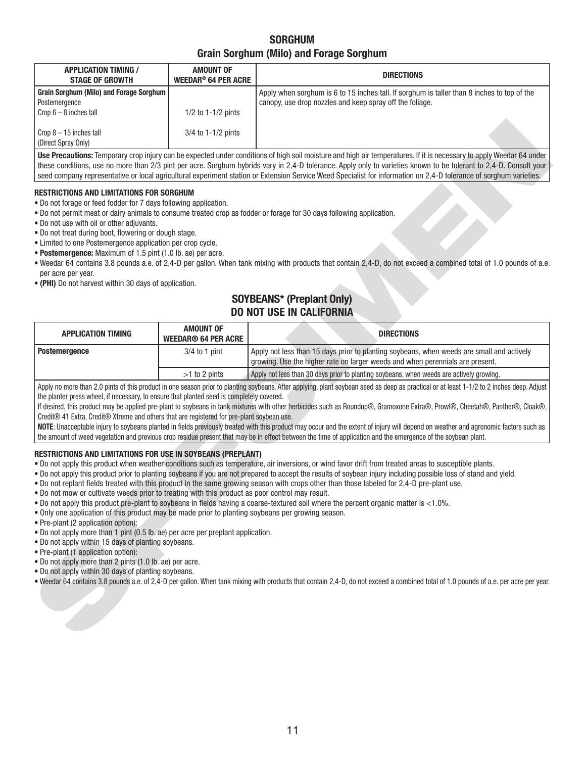## **SORGHUM Grain Sorghum (Milo) and Forage Sorghum**

| <b>APPLICATION TIMING /</b><br><b>STAGE OF GROWTH</b>                                        | <b>AMOUNT OF</b><br><b>WEEDAR<sup>®</sup> 64 PER ACRE</b> | <b>DIRECTIONS</b>                                                                                                                                       |
|----------------------------------------------------------------------------------------------|-----------------------------------------------------------|---------------------------------------------------------------------------------------------------------------------------------------------------------|
| Grain Sorghum (Milo) and Forage Sorghum  <br>Postemergence<br>$\vert$ Crop 6 – 8 inches tall | $1/2$ to $1-1/2$ pints                                    | Apply when sorghum is 6 to 15 inches tall. If sorghum is taller than 8 inches to top of the<br>canopy, use drop nozzles and keep spray off the foliage. |
| $\vert$ Crop 8 – 15 inches tall<br>(Direct Spray Only)                                       | $3/4$ to 1-1/2 pints                                      |                                                                                                                                                         |

### **RESTRICTIONS AND LIMITATIONS FOR SORGHUM**

- Do not forage or feed fodder for 7 days following application.
- Do not permit meat or dairy animals to consume treated crop as fodder or forage for 30 days following application.
- Do not use with oil or other adjuvants.
- Do not treat during boot, flowering or dough stage.
- Limited to one Postemergence application per crop cycle.
- **Postemergence:** Maximum of 1.5 pint (1.0 lb. ae) per acre.
- Weedar 64 contains 3.8 pounds a.e. of 2,4-D per gallon. When tank mixing with products that contain 2,4-D, do not exceed a combined total of 1.0 pounds of a.e. per acre per year.
- **(PHI)** Do not harvest within 30 days of application.

## **SOYBEANS\* (Preplant Only) DO NOT USE IN CALIFORNIA**

| (Direct Spray Only)                                                                                                                                                                                                                                                                                                                                                                                                                                                                                                                                                                                                                                                                                                                                                                                                                                                                                                           | 3/4 to 1-1/2 pints                             |                                                                                                                                                                                                                                                                                                                                                                  |  |  |
|-------------------------------------------------------------------------------------------------------------------------------------------------------------------------------------------------------------------------------------------------------------------------------------------------------------------------------------------------------------------------------------------------------------------------------------------------------------------------------------------------------------------------------------------------------------------------------------------------------------------------------------------------------------------------------------------------------------------------------------------------------------------------------------------------------------------------------------------------------------------------------------------------------------------------------|------------------------------------------------|------------------------------------------------------------------------------------------------------------------------------------------------------------------------------------------------------------------------------------------------------------------------------------------------------------------------------------------------------------------|--|--|
| Use Precautions: Temporary crop injury can be expected under conditions of high soil moisture and high air temperatures. If it is necessary to apply Weedar 64 under<br>these conditions, use no more than 2/3 pint per acre. Sorghum hybrids vary in 2,4-D tolerance. Apply only to varieties known to be tolerant to 2,4-D. Consult your<br>seed company representative or local agricultural experiment station or Extension Service Weed Specialist for information on 2,4-D tolerance of sorghum varieties.                                                                                                                                                                                                                                                                                                                                                                                                              |                                                |                                                                                                                                                                                                                                                                                                                                                                  |  |  |
| <b>RESTRICTIONS AND LIMITATIONS FOR SORGHUM</b><br>. Do not forage or feed fodder for 7 days following application.<br>• Do not use with oil or other adjuvants.<br>. Do not treat during boot, flowering or dough stage.<br>• Limited to one Postemergence application per crop cycle.<br>• Postemergence: Maximum of 1.5 pint (1.0 lb. ae) per acre.<br>per acre per year.<br>• (PHI) Do not harvest within 30 days of application.                                                                                                                                                                                                                                                                                                                                                                                                                                                                                         |                                                | . Do not permit meat or dairy animals to consume treated crop as fodder or forage for 30 days following application.<br>. Weedar 64 contains 3.8 pounds a.e. of 2,4-D per gallon. When tank mixing with products that contain 2,4-D, do not exceed a combined total of 1.0 pounds of a.e.<br><b>SOYBEANS* (Preplant Only)</b><br><b>DO NOT USE IN CALIFORNIA</b> |  |  |
| <b>APPLICATION TIMING</b>                                                                                                                                                                                                                                                                                                                                                                                                                                                                                                                                                                                                                                                                                                                                                                                                                                                                                                     | <b>AMOUNT OF</b><br><b>WEEDAR® 64 PER ACRE</b> | <b>DIRECTIONS</b>                                                                                                                                                                                                                                                                                                                                                |  |  |
| <b>Postemergence</b>                                                                                                                                                                                                                                                                                                                                                                                                                                                                                                                                                                                                                                                                                                                                                                                                                                                                                                          | $3/4$ to 1 pint                                | Apply not less than 15 days prior to planting soybeans, when weeds are small and actively<br>growing. Use the higher rate on larger weeds and when perennials are present.                                                                                                                                                                                       |  |  |
|                                                                                                                                                                                                                                                                                                                                                                                                                                                                                                                                                                                                                                                                                                                                                                                                                                                                                                                               | $>1$ to 2 pints                                | Apply not less than 30 days prior to planting soybeans, when weeds are actively growing.                                                                                                                                                                                                                                                                         |  |  |
| Apply no more than 2.0 pints of this product in one season prior to planting soybeans. After applying, plant soybean seed as deep as practical or at least 1-1/2 to 2 inches deep. Adjust<br>the planter press wheel, if necessary, to ensure that planted seed is completely covered.<br>If desired, this product may be applied pre-plant to soybeans in tank mixtures with other herbicides such as Roundup®, Gramoxone Extra®, Prowl®, Cheetah®, Panther®, Cloak®,<br>Credit® 41 Extra, Credit® Xtreme and others that are registered for pre-plant soybean use.<br>NOTE: Unacceptable injury to soybeans planted in fields previously treated with this product may occur and the extent of injury will depend on weather and agronomic factors such as<br>the amount of weed vegetation and previous crop residue present that may be in effect between the time of application and the emergence of the soybean plant. |                                                |                                                                                                                                                                                                                                                                                                                                                                  |  |  |
|                                                                                                                                                                                                                                                                                                                                                                                                                                                                                                                                                                                                                                                                                                                                                                                                                                                                                                                               |                                                |                                                                                                                                                                                                                                                                                                                                                                  |  |  |

### **RESTRICTIONS AND LIMITATIONS FOR USE IN SOYBEANS (PREPLANT)**

- Do not apply this product when weather conditions such as temperature, air inversions, or wind favor drift from treated areas to susceptible plants.
- Do not apply this product prior to planting soybeans if you are not prepared to accept the results of soybean injury including possible loss of stand and yield.
- Do not replant fields treated with this product in the same growing season with crops other than those labeled for 2,4-D pre-plant use.
- Do not mow or cultivate weeds prior to treating with this product as poor control may result.
- Do not apply this product pre-plant to soybeans in fields having a coarse-textured soil where the percent organic matter is <1.0%.
- Only one application of this product may be made prior to planting soybeans per growing season.
- Pre-plant (2 application option):
- Do not apply more than 1 pint (0.5 lb. ae) per acre per preplant application.
- Do not apply within 15 days of planting soybeans.
- Pre-plant (1 application option):
- Do not apply more than 2 pints (1.0 lb. ae) per acre.
- Do not apply within 30 days of planting soybeans.
- Weedar 64 contains 3.8 pounds a.e. of 2,4-D per gallon. When tank mixing with products that contain 2,4-D, do not exceed a combined total of 1.0 pounds of a.e. per acre per year.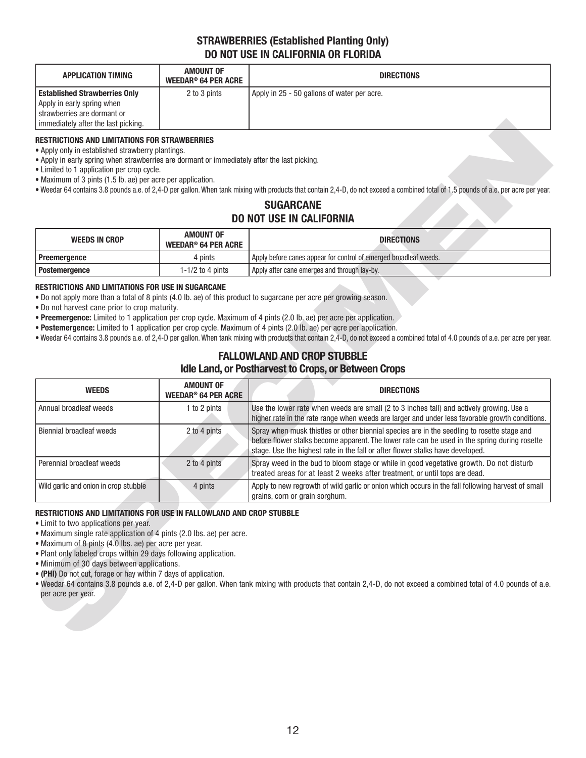## **STRAWBERRIES (Established Planting Only) DO NOT USE IN CALIFORNIA OR FLORIDA**

| <b>APPLICATION TIMING</b>                                                                                                                    | AMOUNT OF<br>WEEDAR® 64 PER ACRE | <b>DIRECTIONS</b>                           |  |
|----------------------------------------------------------------------------------------------------------------------------------------------|----------------------------------|---------------------------------------------|--|
| <b>Established Strawberries Only</b><br>Apply in early spring when<br>I strawberries are dormant or<br>I immediately after the last picking. | 2 to 3 pints                     | Apply in 25 - 50 gallons of water per acre. |  |

### **RESTRICTIONS AND LIMITATIONS FOR STRAWBERRIES**

- Maximum of 3 pints (1.5 lb. ae) per acre per application.
- Weedar 64 contains 3.8 pounds a.e. of 2,4-D per gallon. When tank mixing with products that contain 2,4-D, do not exceed a combined total of 1.5 pounds of a.e. per acre per year.

## **SUGARCANE DO NOT USE IN CALIFORNIA**

| <b>WEEDS IN CROP</b> | <b>AMOUNT OF</b><br>WEEDAR® 64 PER ACRE | <b>DIRECTIONS</b>                                                 |
|----------------------|-----------------------------------------|-------------------------------------------------------------------|
| Preemergence         | 4 pints                                 | Apply before canes appear for control of emerged broadleaf weeds. |
| <b>Postemergence</b> | 1-1/2 to 4 pints                        | Apply after cane emerges and through lay-by.                      |

### **RESTRICTIONS AND LIMITATIONS FOR USE IN SUGARCANE**

## **FALLOWLAND AND CROP STUBBLE Idle Land, or Postharvest to Crops, or Between Crops**

| immediately after the last picking.                                                                                                                                                                                                                                                                                                                                                                                                                                                                                                                                                                                                                                                                           |                                                           |                                                                                                                                                                                                                                                                                |
|---------------------------------------------------------------------------------------------------------------------------------------------------------------------------------------------------------------------------------------------------------------------------------------------------------------------------------------------------------------------------------------------------------------------------------------------------------------------------------------------------------------------------------------------------------------------------------------------------------------------------------------------------------------------------------------------------------------|-----------------------------------------------------------|--------------------------------------------------------------------------------------------------------------------------------------------------------------------------------------------------------------------------------------------------------------------------------|
| <b>RESTRICTIONS AND LIMITATIONS FOR STRAWBERRIES</b><br>• Apply only in established strawberry plantings.<br>. Apply in early spring when strawberries are dormant or immediately after the last picking.<br>• Limited to 1 application per crop cycle.<br>• Maximum of 3 pints (1.5 lb. ae) per acre per application.                                                                                                                                                                                                                                                                                                                                                                                        |                                                           | . Weedar 64 contains 3.8 pounds a.e. of 2,4-D per gallon. When tank mixing with products that contain 2,4-D, do not exceed a combined total of 1.5 pounds of a.e. per acre per year.                                                                                           |
|                                                                                                                                                                                                                                                                                                                                                                                                                                                                                                                                                                                                                                                                                                               |                                                           | <b>SUGARCANE</b>                                                                                                                                                                                                                                                               |
|                                                                                                                                                                                                                                                                                                                                                                                                                                                                                                                                                                                                                                                                                                               |                                                           | <b>DO NOT USE IN CALIFORNIA</b>                                                                                                                                                                                                                                                |
| <b>WEEDS IN CROP</b>                                                                                                                                                                                                                                                                                                                                                                                                                                                                                                                                                                                                                                                                                          | <b>AMOUNT OF</b><br><b>WEEDAR<sup>®</sup> 64 PER ACRE</b> | <b>DIRECTIONS</b>                                                                                                                                                                                                                                                              |
| Preemergence                                                                                                                                                                                                                                                                                                                                                                                                                                                                                                                                                                                                                                                                                                  | 4 pints                                                   | Apply before canes appear for control of emerged broadleaf weeds.                                                                                                                                                                                                              |
| <b>Postemergence</b>                                                                                                                                                                                                                                                                                                                                                                                                                                                                                                                                                                                                                                                                                          | 1-1/2 to 4 pints                                          | Apply after cane emerges and through lay-by.                                                                                                                                                                                                                                   |
| . Do not apply more than a total of 8 pints (4.0 lb. ae) of this product to sugarcane per acre per growing season.<br>. Do not harvest cane prior to crop maturity.<br>• Preemergence: Limited to 1 application per crop cycle. Maximum of 4 pints (2.0 lb. ae) per acre per application.<br>• Postemergence: Limited to 1 application per crop cycle. Maximum of 4 pints (2.0 lb. ae) per acre per application.<br>. Weedar 64 contains 3.8 pounds a.e. of 2,4-D per gallon. When tank mixing with products that contain 2,4-D, do not exceed a combined total of 4.0 pounds of a.e. per acre per year.<br><b>FALLOWLAND AND CROP STUBBLE</b><br><b>Idle Land, or Postharvest to Crops, or Between Crops</b> |                                                           |                                                                                                                                                                                                                                                                                |
| <b>AMOUNT OF</b><br><b>WEEDS</b><br><b>DIRECTIONS</b>                                                                                                                                                                                                                                                                                                                                                                                                                                                                                                                                                                                                                                                         |                                                           |                                                                                                                                                                                                                                                                                |
|                                                                                                                                                                                                                                                                                                                                                                                                                                                                                                                                                                                                                                                                                                               | <b>WEEDAR<sup>®</sup> 64 PER ACRE</b>                     |                                                                                                                                                                                                                                                                                |
| Annual broadleaf weeds                                                                                                                                                                                                                                                                                                                                                                                                                                                                                                                                                                                                                                                                                        | 1 to 2 pints                                              | Use the lower rate when weeds are small (2 to 3 inches tall) and actively growing. Use a<br>higher rate in the rate range when weeds are larger and under less favorable growth conditions.                                                                                    |
| <b>Biennial broadleaf weeds</b>                                                                                                                                                                                                                                                                                                                                                                                                                                                                                                                                                                                                                                                                               | 2 to 4 pints                                              | Spray when musk thistles or other biennial species are in the seedling to rosette stage and<br>before flower stalks become apparent. The lower rate can be used in the spring during rosette<br>stage. Use the highest rate in the fall or after flower stalks have developed. |
| Perennial broadleaf weeds                                                                                                                                                                                                                                                                                                                                                                                                                                                                                                                                                                                                                                                                                     | 2 to 4 pints                                              | Spray weed in the bud to bloom stage or while in good vegetative growth. Do not disturb<br>treated areas for at least 2 weeks after treatment, or until tops are dead.                                                                                                         |
| Wild garlic and onion in crop stubble                                                                                                                                                                                                                                                                                                                                                                                                                                                                                                                                                                                                                                                                         | 4 pints                                                   | Apply to new regrowth of wild garlic or onion which occurs in the fall following harvest of small<br>grains, corn or grain sorghum.                                                                                                                                            |

### **RESTRICTIONS AND LIMITATIONS FOR USE IN FALLOWLAND AND CROP STUBBLE**

- Plant only labeled crops within 29 days following application.
- Minimum of 30 days between applications.
- **(PHI)** Do not cut, forage or hay within 7 days of application.
- Weedar 64 contains 3.8 pounds a.e. of 2,4-D per gallon. When tank mixing with products that contain 2,4-D, do not exceed a combined total of 4.0 pounds of a.e. per acre per year.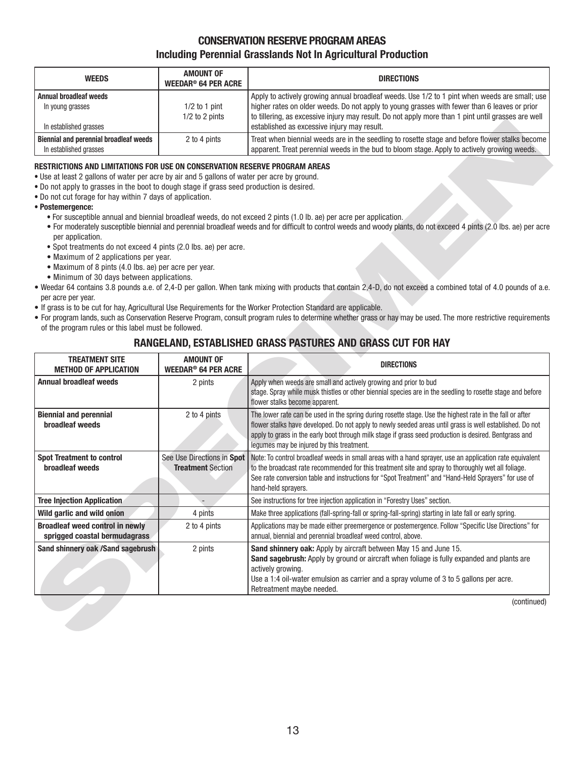## **CONSERVATION RESERVE PROGRAM AREAS Including Perennial Grasslands Not In Agricultural Production**

| <b>WEEDS</b>                                                                | <b>AMOUNT OF</b><br><b>WEEDAR® 64 PER ACRE</b> | <b>DIRECTIONS</b>                                                                                                                                                                                                                                                                                                                                  |
|-----------------------------------------------------------------------------|------------------------------------------------|----------------------------------------------------------------------------------------------------------------------------------------------------------------------------------------------------------------------------------------------------------------------------------------------------------------------------------------------------|
| <b>Annual broadleaf weeds</b><br>In young grasses<br>In established grasses | $1/2$ to 1 pint<br>$1/2$ to 2 pints            | Apply to actively growing annual broadleaf weeds. Use 1/2 to 1 pint when weeds are small; use<br>higher rates on older weeds. Do not apply to young grasses with fewer than 6 leaves or prior<br>to tillering, as excessive injury may result. Do not apply more than 1 pint until grasses are well<br>established as excessive injury may result. |
| Biennial and perennial broadleaf weeds<br>In established grasses            | 2 to 4 pints                                   | Treat when biennial weeds are in the seedling to rosette stage and before flower stalks become<br>apparent. Treat perennial weeds in the bud to bloom stage. Apply to actively growing weeds.                                                                                                                                                      |

### **RESTRICTIONS AND LIMITATIONS FOR USE ON CONSERVATION RESERVE PROGRAM AREAS**

- Do not apply to grasses in the boot to dough stage if grass seed production is desired.
- Do not cut forage for hay within 7 days of application.

- For susceptible annual and biennial broadleaf weeds, do not exceed 2 pints (1.0 lb. ae) per acre per application.
- For moderately susceptible biennial and perennial broadleaf weeds and for difficult to control weeds and woody plants, do not exceed 4 pints (2.0 lbs. ae) per acre per application.
- Spot treatments do not exceed 4 pints (2.0 lbs. ae) per acre.
- Maximum of 2 applications per year.
- Maximum of 8 pints (4.0 lbs. ae) per acre per year.
- Minimum of 30 days between applications.
- Weedar 64 contains 3.8 pounds a.e. of 2,4-D per gallon. When tank mixing with products that contain 2,4-D, do not exceed a combined total of 4.0 pounds of a.e. per acre per year.
- If grass is to be cut for hay, Agricultural Use Requirements for the Worker Protection Standard are applicable.
- For program lands, such as Conservation Reserve Program, consult program rules to determine whether grass or hay may be used. The more restrictive requirements of the program rules or this label must be followed.

## **RANGELAND, ESTABLISHED GRASS PASTURES AND GRASS CUT FOR HAY**

| In established grasses                                                                                                                                                                                                                                                                                                                                                                                                                                                                                                                                                                                                                                                               | $1/L$ to $L$ prints                                       | w anomy, as oxoocon's mjary may room. Bo not apply more analy i plint analyticooc<br>established as excessive injury may result.                                                                                                                                                                                                                                                                                                                                                                                                                                                                                                                                                                                                                            |
|--------------------------------------------------------------------------------------------------------------------------------------------------------------------------------------------------------------------------------------------------------------------------------------------------------------------------------------------------------------------------------------------------------------------------------------------------------------------------------------------------------------------------------------------------------------------------------------------------------------------------------------------------------------------------------------|-----------------------------------------------------------|-------------------------------------------------------------------------------------------------------------------------------------------------------------------------------------------------------------------------------------------------------------------------------------------------------------------------------------------------------------------------------------------------------------------------------------------------------------------------------------------------------------------------------------------------------------------------------------------------------------------------------------------------------------------------------------------------------------------------------------------------------------|
| <b>Biennial and perennial broadleaf weeds</b>                                                                                                                                                                                                                                                                                                                                                                                                                                                                                                                                                                                                                                        | 2 to 4 pints                                              | Treat when biennial weeds are in the seedling to rosette stage and before flower stalks become                                                                                                                                                                                                                                                                                                                                                                                                                                                                                                                                                                                                                                                              |
| In established grasses                                                                                                                                                                                                                                                                                                                                                                                                                                                                                                                                                                                                                                                               |                                                           | apparent. Treat perennial weeds in the bud to bloom stage. Apply to actively growing weeds.                                                                                                                                                                                                                                                                                                                                                                                                                                                                                                                                                                                                                                                                 |
| <b>RESTRICTIONS AND LIMITATIONS FOR USE ON CONSERVATION RESERVE PROGRAM AREAS</b><br>. Use at least 2 gallons of water per acre by air and 5 gallons of water per acre by ground.<br>. Do not apply to grasses in the boot to dough stage if grass seed production is desired.<br>. Do not cut forage for hay within 7 days of application.<br>• Postemergence:<br>per application.<br>• Spot treatments do not exceed 4 pints (2.0 lbs. ae) per acre.<br>• Maximum of 2 applications per year.<br>• Maximum of 8 pints (4.0 lbs. ae) per acre per year.<br>• Minimum of 30 days between applications.<br>per acre per year.<br>of the program rules or this label must be followed. |                                                           | • For susceptible annual and biennial broadleaf weeds, do not exceed 2 pints (1.0 lb. ae) per acre per application.<br>• For moderately susceptible biennial and perennial broadleaf weeds and for difficult to control weeds and woody plants, do not exceed 4 pints (2.0 lbs. ae) per acre<br>. Weedar 64 contains 3.8 pounds a.e. of 2,4-D per gallon. When tank mixing with products that contain 2,4-D, do not exceed a combined total of 4.0 pounds of a.e.<br>. If grass is to be cut for hay, Agricultural Use Requirements for the Worker Protection Standard are applicable.<br>. For program lands, such as Conservation Reserve Program, consult program rules to determine whether grass or hay may be used. The more restrictive requirements |
|                                                                                                                                                                                                                                                                                                                                                                                                                                                                                                                                                                                                                                                                                      |                                                           | RANGELAND, ESTABLISHED GRASS PASTURES AND GRASS CUT FOR HAY                                                                                                                                                                                                                                                                                                                                                                                                                                                                                                                                                                                                                                                                                                 |
| <b>TREATMENT SITE</b><br><b>METHOD OF APPLICATION</b>                                                                                                                                                                                                                                                                                                                                                                                                                                                                                                                                                                                                                                | <b>AMOUNT OF</b><br><b>WEEDAR<sup>®</sup> 64 PER ACRE</b> | <b>DIRECTIONS</b>                                                                                                                                                                                                                                                                                                                                                                                                                                                                                                                                                                                                                                                                                                                                           |
| <b>Annual broadleaf weeds</b>                                                                                                                                                                                                                                                                                                                                                                                                                                                                                                                                                                                                                                                        | 2 pints                                                   | Apply when weeds are small and actively growing and prior to bud<br>stage. Spray while musk thistles or other biennial species are in the seedling to rosette stage and before<br>flower stalks become apparent.                                                                                                                                                                                                                                                                                                                                                                                                                                                                                                                                            |
| <b>Biennial and perennial</b><br><b>broadleaf weeds</b>                                                                                                                                                                                                                                                                                                                                                                                                                                                                                                                                                                                                                              | 2 to 4 pints                                              | The lower rate can be used in the spring during rosette stage. Use the highest rate in the fall or after<br>flower stalks have developed. Do not apply to newly seeded areas until grass is well established. Do not<br>apply to grass in the early boot through milk stage if grass seed production is desired. Bentgrass and<br>legumes may be injured by this treatment.                                                                                                                                                                                                                                                                                                                                                                                 |
| <b>Spot Treatment to control</b><br><b>broadleaf weeds</b>                                                                                                                                                                                                                                                                                                                                                                                                                                                                                                                                                                                                                           | See Use Directions in Spot<br><b>Treatment Section</b>    | Note: To control broadleaf weeds in small areas with a hand sprayer, use an application rate equivalent<br>to the broadcast rate recommended for this treatment site and spray to thoroughly wet all foliage.<br>See rate conversion table and instructions for "Spot Treatment" and "Hand-Held Sprayers" for use of<br>hand-held sprayers.                                                                                                                                                                                                                                                                                                                                                                                                                 |
| <b>Tree Injection Application</b>                                                                                                                                                                                                                                                                                                                                                                                                                                                                                                                                                                                                                                                    |                                                           | See instructions for tree injection application in "Forestry Uses" section.                                                                                                                                                                                                                                                                                                                                                                                                                                                                                                                                                                                                                                                                                 |
| Wild garlic and wild onion                                                                                                                                                                                                                                                                                                                                                                                                                                                                                                                                                                                                                                                           | 4 pints                                                   | Make three applications (fall-spring-fall or spring-fall-spring) starting in late fall or early spring.                                                                                                                                                                                                                                                                                                                                                                                                                                                                                                                                                                                                                                                     |
| <b>Broadleaf weed control in newly</b><br>sprigged coastal bermudagrass                                                                                                                                                                                                                                                                                                                                                                                                                                                                                                                                                                                                              | 2 to 4 pints                                              | Applications may be made either preemergence or postemergence. Follow "Specific Use Directions" for<br>annual, biennial and perennial broadleaf weed control, above.                                                                                                                                                                                                                                                                                                                                                                                                                                                                                                                                                                                        |
| Sand shinnery oak /Sand sagebrush                                                                                                                                                                                                                                                                                                                                                                                                                                                                                                                                                                                                                                                    | 2 pints                                                   | Sand shinnery oak: Apply by aircraft between May 15 and June 15.<br>Sand sagebrush: Apply by ground or aircraft when foliage is fully expanded and plants are<br>actively growing.<br>Use a 1:4 oil-water emulsion as carrier and a spray volume of 3 to 5 gallons per acre.<br>Retreatment maybe needed.                                                                                                                                                                                                                                                                                                                                                                                                                                                   |
|                                                                                                                                                                                                                                                                                                                                                                                                                                                                                                                                                                                                                                                                                      |                                                           |                                                                                                                                                                                                                                                                                                                                                                                                                                                                                                                                                                                                                                                                                                                                                             |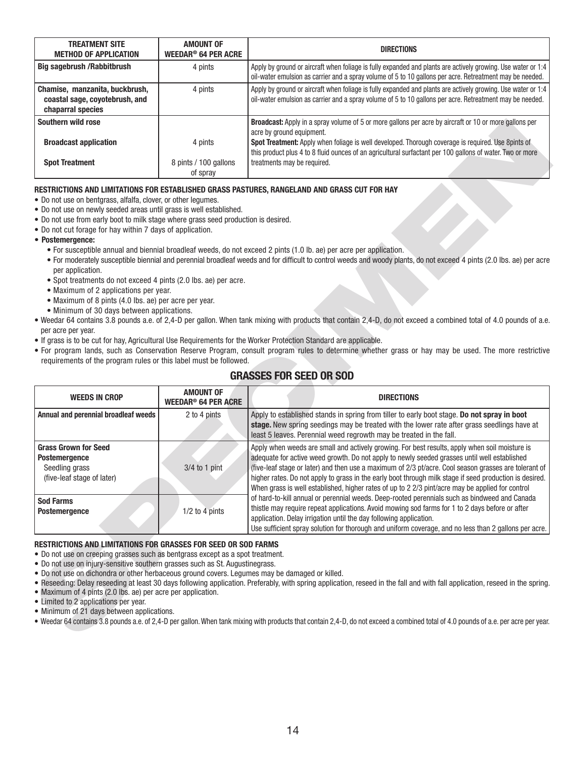| <b>TREATMENT SITE</b><br><b>METHOD OF APPLICATION</b>                                 | <b>AMOUNT OF</b><br>WEEDAR <sup>®</sup> 64 PER ACRE | <b>DIRECTIONS</b>                                                                                                                                                                                                        |
|---------------------------------------------------------------------------------------|-----------------------------------------------------|--------------------------------------------------------------------------------------------------------------------------------------------------------------------------------------------------------------------------|
| <b>Big sagebrush / Rabbitbrush</b>                                                    | 4 pints                                             | Apply by ground or aircraft when foliage is fully expanded and plants are actively growing. Use water or 1:4<br>oil-water emulsion as carrier and a spray volume of 5 to 10 gallons per acre. Retreatment may be needed. |
| Chamise, manzanita, buckbrush,<br>coastal sage, coyotebrush, and<br>chaparral species | 4 pints                                             | Apply by ground or aircraft when foliage is fully expanded and plants are actively growing. Use water or 1:4<br>oil-water emulsion as carrier and a spray volume of 5 to 10 gallons per acre. Retreatment may be needed. |
| Southern wild rose                                                                    |                                                     | <b>Broadcast:</b> Apply in a spray volume of 5 or more gallons per acre by aircraft or 10 or more gallons per<br>acre by ground equipment.                                                                               |
| <b>Broadcast application</b>                                                          | 4 pints                                             | Spot Treatment: Apply when foliage is well developed. Thorough coverage is required. Use 8pints of<br>this product plus 4 to 8 fluid ounces of an agricultural surfactant per 100 gallons of water. Two or more          |
| <b>Spot Treatment</b>                                                                 | 8 pints / 100 gallons<br>of spray                   | treatments may be required.                                                                                                                                                                                              |

### **RESTRICTIONS AND LIMITATIONS FOR ESTABLISHED GRASS PASTURES, RANGELAND AND GRASS CUT FOR HAY**

- Do not use on bentgrass, alfalfa, clover, or other legumes.
- Do not use on newly seeded areas until grass is well established.
- Do not use from early boot to milk stage where grass seed production is desired.
- Do not cut forage for hay within 7 days of application.
- **Postemergence:**
	- For susceptible annual and biennial broadleaf weeds, do not exceed 2 pints (1.0 lb. ae) per acre per application.
	- For moderately susceptible biennial and perennial broadleaf weeds and for difficult to control weeds and woody plants, do not exceed 4 pints (2.0 lbs. ae) per acre per application.
	- Spot treatments do not exceed 4 pints (2.0 lbs. ae) per acre.
	- Maximum of 2 applications per year.
	- Maximum of 8 pints (4.0 lbs. ae) per acre per year.
	- Minimum of 30 days between applications.
- Weedar 64 contains 3.8 pounds a.e. of 2,4-D per gallon. When tank mixing with products that contain 2,4-D, do not exceed a combined total of 4.0 pounds of a.e. per acre per year.
- If grass is to be cut for hay, Agricultural Use Requirements for the Worker Protection Standard are applicable.
- For program lands, such as Conservation Reserve Program, consult program rules to determine whether grass or hay may be used. The more restrictive requirements of the program rules or this label must be followed.

## **GRASSES FOR SEED OR SOD**

| Southern wild rose                                                                                    |                                                                   | <b>Broadcast:</b> Apply in a spray volume of 5 or more gallons per acre by aircraft or 10 or more gallons per<br>acre by ground equipment.                                           |
|-------------------------------------------------------------------------------------------------------|-------------------------------------------------------------------|--------------------------------------------------------------------------------------------------------------------------------------------------------------------------------------|
| <b>Broadcast application</b>                                                                          | 4 pints                                                           | Spot Treatment: Apply when foliage is well developed. Thorough coverage is required. Use 8pints of                                                                                   |
|                                                                                                       |                                                                   | this product plus 4 to 8 fluid ounces of an agricultural surfactant per 100 gallons of water. Two or more                                                                            |
| <b>Spot Treatment</b>                                                                                 | 8 pints / 100 gallons                                             | treatments may be required.                                                                                                                                                          |
|                                                                                                       | of spray                                                          |                                                                                                                                                                                      |
|                                                                                                       |                                                                   | RESTRICTIONS AND LIMITATIONS FOR ESTABLISHED GRASS PASTURES, RANGELAND AND GRASS CUT FOR HAY                                                                                         |
| • Do not use on bentgrass, alfalfa, clover, or other legumes.                                         |                                                                   |                                                                                                                                                                                      |
| . Do not use on newly seeded areas until grass is well established.                                   |                                                                   |                                                                                                                                                                                      |
| . Do not use from early boot to milk stage where grass seed production is desired.                    |                                                                   |                                                                                                                                                                                      |
| • Do not cut forage for hay within 7 days of application.                                             |                                                                   |                                                                                                                                                                                      |
| • Postemergence:                                                                                      |                                                                   |                                                                                                                                                                                      |
|                                                                                                       |                                                                   | • For susceptible annual and biennial broadleaf weeds, do not exceed 2 pints (1.0 lb. ae) per acre per application.                                                                  |
| per application.                                                                                      |                                                                   | • For moderately susceptible biennial and perennial broadleaf weeds and for difficult to control weeds and woody plants, do not exceed 4 pints (2.0 lbs. ae) per acre                |
| • Spot treatments do not exceed 4 pints (2.0 lbs. ae) per acre.                                       |                                                                   |                                                                                                                                                                                      |
| • Maximum of 2 applications per year.                                                                 |                                                                   |                                                                                                                                                                                      |
| • Maximum of 8 pints (4.0 lbs. ae) per acre per year.                                                 |                                                                   |                                                                                                                                                                                      |
| • Minimum of 30 days between applications.                                                            |                                                                   |                                                                                                                                                                                      |
|                                                                                                       |                                                                   | . Weedar 64 contains 3.8 pounds a.e. of 2,4-D per gallon. When tank mixing with products that contain 2,4-D, do not exceed a combined total of 4.0 pounds of a.e.                    |
| per acre per year.                                                                                    |                                                                   |                                                                                                                                                                                      |
|                                                                                                       |                                                                   | . If grass is to be cut for hay, Agricultural Use Requirements for the Worker Protection Standard are applicable.                                                                    |
|                                                                                                       |                                                                   | • For program lands, such as Conservation Reserve Program, consult program rules to determine whether grass or hay may be used. The more restrictive                                 |
|                                                                                                       | requirements of the program rules or this label must be followed. |                                                                                                                                                                                      |
|                                                                                                       |                                                                   |                                                                                                                                                                                      |
|                                                                                                       |                                                                   | <b>GRASSES FOR SEED OR SOD</b>                                                                                                                                                       |
|                                                                                                       |                                                                   |                                                                                                                                                                                      |
| <b>WEEDS IN CROP</b>                                                                                  | <b>AMOUNT OF</b><br><b>WEEDAR<sup>®</sup> 64 PER ACRE</b>         | <b>DIRECTIONS</b>                                                                                                                                                                    |
| Annual and perennial broadleaf weeds                                                                  | 2 to 4 pints                                                      | Apply to established stands in spring from tiller to early boot stage. Do not spray in boot                                                                                          |
|                                                                                                       |                                                                   | stage. New spring seedings may be treated with the lower rate after grass seedlings have at                                                                                          |
|                                                                                                       |                                                                   | least 5 leaves. Perennial weed regrowth may be treated in the fall.                                                                                                                  |
| <b>Grass Grown for Seed</b>                                                                           |                                                                   | Apply when weeds are small and actively growing. For best results, apply when soil moisture is                                                                                       |
| <b>Postemergence</b>                                                                                  |                                                                   | adequate for active weed growth. Do not apply to newly seeded grasses until well established                                                                                         |
| Seedling grass                                                                                        | $3/4$ to 1 pint                                                   | (five-leaf stage or later) and then use a maximum of 2/3 pt/acre. Cool season grasses are tolerant of                                                                                |
| (five-leaf stage of later)                                                                            |                                                                   | higher rates. Do not apply to grass in the early boot through milk stage if seed production is desired.                                                                              |
|                                                                                                       |                                                                   | When grass is well established, higher rates of up to 2 2/3 pint/acre may be applied for control                                                                                     |
| <b>Sod Farms</b>                                                                                      |                                                                   | of hard-to-kill annual or perennial weeds. Deep-rooted perennials such as bindweed and Canada                                                                                        |
| <b>Postemergence</b>                                                                                  | 1/2 to 4 pints                                                    | thistle may require repeat applications. Avoid mowing sod farms for 1 to 2 days before or after                                                                                      |
|                                                                                                       |                                                                   | application. Delay irrigation until the day following application.                                                                                                                   |
|                                                                                                       |                                                                   | Use sufficient spray solution for thorough and uniform coverage, and no less than 2 gallons per acre.                                                                                |
| RESTRICTIONS AND LIMITATIONS FOR GRASSES FOR SEED OR SOD FARMS                                        |                                                                   |                                                                                                                                                                                      |
| • Do not use on creeping grasses such as bentgrass except as a spot treatment.                        |                                                                   |                                                                                                                                                                                      |
| . Do not use on injury-sensitive southern grasses such as St. Augustinegrass.                         |                                                                   |                                                                                                                                                                                      |
| . Do not use on dichondra or other herbaceous ground covers. Legumes may be damaged or killed.        |                                                                   |                                                                                                                                                                                      |
|                                                                                                       |                                                                   | . Reseeding: Delay reseeding at least 30 days following application. Preferably, with spring application, reseed in the fall and with fall application, reseed in the spring.        |
| • Maximum of 4 pints (2.0 lbs. ae) per acre per application.<br>• Limited to 2 applications per year. |                                                                   |                                                                                                                                                                                      |
| • Minimum of 21 days between applications.                                                            |                                                                   |                                                                                                                                                                                      |
|                                                                                                       |                                                                   | . Weedar 64 contains 3.8 pounds a.e. of 2,4-D per gallon. When tank mixing with products that contain 2,4-D, do not exceed a combined total of 4.0 pounds of a.e. per acre per year. |

#### **RESTRICTIONS AND LIMITATIONS FOR GRASSES FOR SEED OR SOD FARMS**

- Do not use on creeping grasses such as bentgrass except as a spot treatment.
- Do not use on injury-sensitive southern grasses such as St. Augustinegrass.
- Do not use on dichondra or other herbaceous ground covers. Legumes may be damaged or killed.
- Reseeding: Delay reseeding at least 30 days following application. Preferably, with spring application, reseed in the fall and with fall application, reseed in the spring.
- Maximum of 4 pints (2.0 lbs. ae) per acre per application.
- Limited to 2 applications per year.
- Minimum of 21 days between applications.
- Weedar 64 contains 3.8 pounds a.e. of 2,4-D per gallon. When tank mixing with products that contain 2,4-D, do not exceed a combined total of 4.0 pounds of a.e. per acre per year.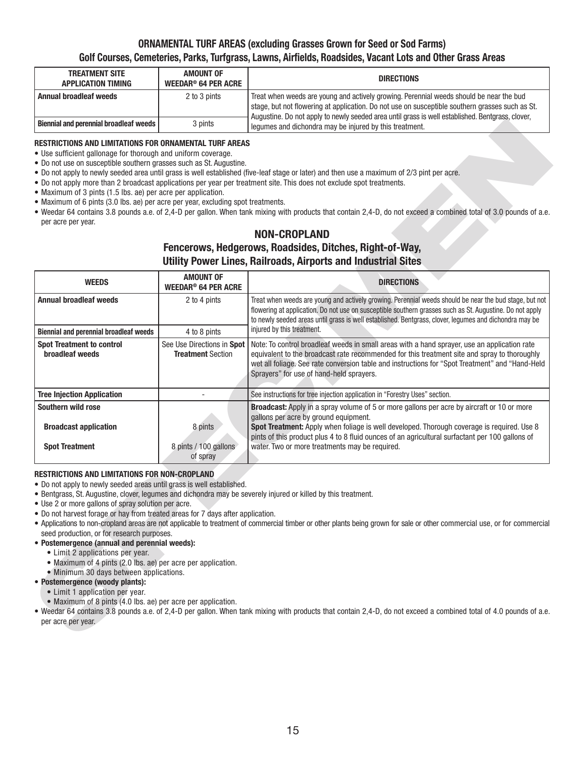## **ORNAMENTAL TURF AREAS (excluding Grasses Grown for Seed or Sod Farms)** Golf Courses, Cemeteries, Parks, Turfgrass, Lawns, Airfields, Roadsides, Vacant Lots and Other Grass Areas

| <b>TREATMENT SITE</b><br><b>APPLICATION TIMING</b> | <b>AMOUNT OF</b><br>WEEDAR® 64 PER ACRE | <b>DIRECTIONS</b>                                                                                                                                                                                                                                                                              |
|----------------------------------------------------|-----------------------------------------|------------------------------------------------------------------------------------------------------------------------------------------------------------------------------------------------------------------------------------------------------------------------------------------------|
| Annual broadleaf weeds                             | 2 to 3 pints                            | Treat when weeds are young and actively growing. Perennial weeds should be near the bud<br>stage, but not flowering at application. Do not use on susceptible southern grasses such as St.<br>Augustine. Do not apply to newly seeded area until grass is well established. Bentgrass, clover, |
| <b>Biennial and perennial broadleaf weeds</b>      | 3 pints                                 | lequmes and dichondra may be injured by this treatment.                                                                                                                                                                                                                                        |

### **RESTRICTIONS AND LIMITATIONS FOR ORNAMENTAL TURF AREAS**

- Use sufficient gallonage for thorough and uniform coverage.
- Do not use on susceptible southern grasses such as St. Augustine.
- Do not apply to newly seeded area until grass is well established (five-leaf stage or later) and then use a maximum of 2/3 pint per acre.
- Do not apply more than 2 broadcast applications per year per treatment site. This does not exclude spot treatments.
- Maximum of 3 pints (1.5 lbs. ae) per acre per application.
- Maximum of 6 pints (3.0 lbs. ae) per acre per year, excluding spot treatments.
- Weedar 64 contains 3.8 pounds a.e. of 2,4-D per gallon. When tank mixing with products that contain 2,4-D, do not exceed a combined total of 3.0 pounds of a.e. per acre per year.

## **NON-CROPLAND**

## **Fencerows, Hedgerows, Roadsides, Ditches, Right-of-Way, Utility Power Lines, Railroads, Airports and Industrial Sites**

| <b>Biennial and perennial broadleaf weeds</b>                                                                                                                                                                                                                                                                                                                                                                                                                                                                                                                                                                                                                                     | 3 pints                                                   | ound. Do not apply to nowly occupa area and grace io well couplened. Dontgrace, o<br>legumes and dichondra may be injured by this treatment.                                                                                                                                                                                                                                                                                                                                                                                                                                                        |
|-----------------------------------------------------------------------------------------------------------------------------------------------------------------------------------------------------------------------------------------------------------------------------------------------------------------------------------------------------------------------------------------------------------------------------------------------------------------------------------------------------------------------------------------------------------------------------------------------------------------------------------------------------------------------------------|-----------------------------------------------------------|-----------------------------------------------------------------------------------------------------------------------------------------------------------------------------------------------------------------------------------------------------------------------------------------------------------------------------------------------------------------------------------------------------------------------------------------------------------------------------------------------------------------------------------------------------------------------------------------------------|
| RESTRICTIONS AND LIMITATIONS FOR ORNAMENTAL TURF AREAS<br>• Use sufficient gallonage for thorough and uniform coverage.<br>. Do not use on susceptible southern grasses such as St. Augustine.<br>• Maximum of 3 pints (1.5 lbs. ae) per acre per application.<br>• Maximum of 6 pints (3.0 lbs. ae) per acre per year, excluding spot treatments.<br>per acre per year.                                                                                                                                                                                                                                                                                                          |                                                           | . Do not apply to newly seeded area until grass is well established (five-leaf stage or later) and then use a maximum of 2/3 pint per acre.<br>. Do not apply more than 2 broadcast applications per year per treatment site. This does not exclude spot treatments.<br>. Weedar 64 contains 3.8 pounds a.e. of 2,4-D per gallon. When tank mixing with products that contain 2,4-D, do not exceed a combined total of 3.0 pounds of a.e.<br><b>NON-CROPLAND</b><br>Fencerows, Hedgerows, Roadsides, Ditches, Right-of-Way,<br><b>Utility Power Lines, Railroads, Airports and Industrial Sites</b> |
| <b>WEEDS</b>                                                                                                                                                                                                                                                                                                                                                                                                                                                                                                                                                                                                                                                                      | <b>AMOUNT OF</b><br><b>WEEDAR<sup>®</sup> 64 PER ACRE</b> | <b>DIRECTIONS</b>                                                                                                                                                                                                                                                                                                                                                                                                                                                                                                                                                                                   |
| <b>Annual broadleaf weeds</b>                                                                                                                                                                                                                                                                                                                                                                                                                                                                                                                                                                                                                                                     | 2 to 4 pints                                              | Treat when weeds are young and actively growing. Perennial weeds should be near the bud stage, but not<br>flowering at application. Do not use on susceptible southern grasses such as St. Augustine. Do not apply<br>to newly seeded areas until grass is well established. Bentgrass, clover, legumes and dichondra may be                                                                                                                                                                                                                                                                        |
| <b>Biennial and perennial broadleaf weeds</b>                                                                                                                                                                                                                                                                                                                                                                                                                                                                                                                                                                                                                                     | 4 to 8 pints                                              | injured by this treatment.                                                                                                                                                                                                                                                                                                                                                                                                                                                                                                                                                                          |
| <b>Spot Treatment to control</b><br>broadleaf weeds                                                                                                                                                                                                                                                                                                                                                                                                                                                                                                                                                                                                                               | See Use Directions in Spot<br><b>Treatment Section</b>    | Note: To control broadleaf weeds in small areas with a hand sprayer, use an application rate<br>equivalent to the broadcast rate recommended for this treatment site and spray to thoroughly<br>wet all foliage. See rate conversion table and instructions for "Spot Treatment" and "Hand-Held<br>Sprayers" for use of hand-held sprayers.                                                                                                                                                                                                                                                         |
| <b>Tree Injection Application</b>                                                                                                                                                                                                                                                                                                                                                                                                                                                                                                                                                                                                                                                 |                                                           | See instructions for tree injection application in "Forestry Uses" section.                                                                                                                                                                                                                                                                                                                                                                                                                                                                                                                         |
| <b>Southern wild rose</b><br><b>Broadcast application</b><br><b>Spot Treatment</b>                                                                                                                                                                                                                                                                                                                                                                                                                                                                                                                                                                                                | 8 pints<br>8 pints / 100 gallons<br>of spray              | Broadcast: Apply in a spray volume of 5 or more gallons per acre by aircraft or 10 or more<br>gallons per acre by ground equipment.<br>Spot Treatment: Apply when foliage is well developed. Thorough coverage is required. Use 8<br>pints of this product plus 4 to 8 fluid ounces of an agricultural surfactant per 100 gallons of<br>water. Two or more treatments may be required.                                                                                                                                                                                                              |
| <b>RESTRICTIONS AND LIMITATIONS FOR NON-CROPLAND</b><br>. Do not apply to newly seeded areas until grass is well established.<br>• Use 2 or more gallons of spray solution per acre.<br>. Do not harvest forage or hay from treated areas for 7 days after application.<br>seed production, or for research purposes.<br>• Postemergence (annual and perennial weeds):<br>• Limit 2 applications per year.<br>• Maximum of 4 pints (2.0 lbs. ae) per acre per application.<br>• Minimum 30 days between applications.<br>• Postemergence (woody plants):<br>• Limit 1 application per year.<br>• Maximum of 8 pints (4.0 lbs. ae) per acre per application.<br>per acre per year. |                                                           | . Bentgrass, St. Augustine, clover, legumes and dichondra may be severely injured or killed by this treatment.<br>• Applications to non-cropland areas are not applicable to treatment of commercial timber or other plants being grown for sale or other commercial use, or for commercial<br>. Weedar 64 contains 3.8 pounds a.e. of 2,4-D per gallon. When tank mixing with products that contain 2,4-D, do not exceed a combined total of 4.0 pounds of a.e.                                                                                                                                    |

### **RESTRICTIONS AND LIMITATIONS FOR NON-CROPLAND**

- Do not apply to newly seeded areas until grass is well established.
- Bentgrass, St. Augustine, clover, legumes and dichondra may be severely injured or killed by this treatment.
- Use 2 or more gallons of spray solution per acre.
- Do not harvest forage or hay from treated areas for 7 days after application.
- Applications to non-cropland areas are not applicable to treatment of commercial timber or other plants being grown for sale or other commercial use, or for commercial seed production, or for research purposes.
- **Postemergence (annual and perennial weeds):**
	- Limit 2 applications per year.
	- Maximum of 4 pints (2.0 lbs. ae) per acre per application.
	- Minimum 30 days between applications.
- **Postemergence (woody plants):**
- Limit 1 application per year.
	- Maximum of 8 pints (4.0 lbs. ae) per acre per application.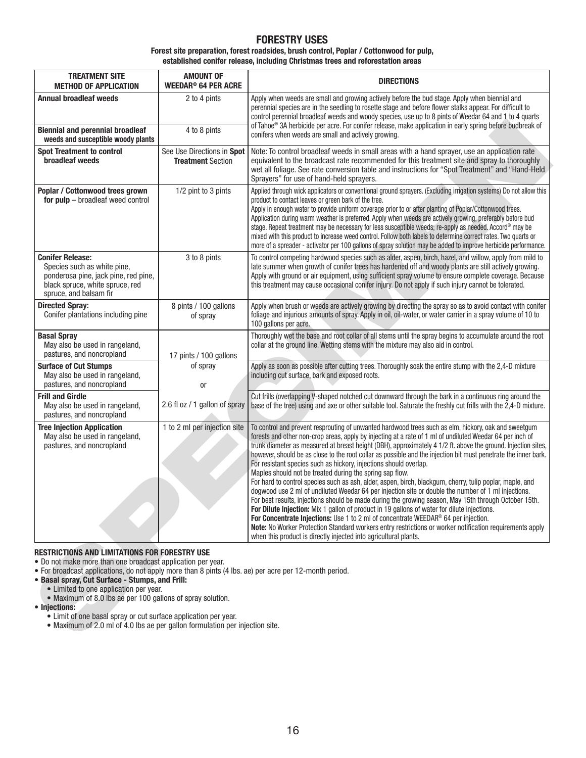## **FORESTRY USES**

### **Forest site preparation, forest roadsides, brush control, Poplar / Cottonwood for pulp, established conifer release, including Christmas trees and reforestation areas**

| <b>TREATMENT SITE</b><br><b>METHOD OF APPLICATION</b>                                                                                                                                                                                                                                                                                                                                                                                                                                                                                                        | <b>AMOUNT OF</b><br><b>WEEDAR<sup>®</sup> 64 PER ACRE</b> | <b>DIRECTIONS</b>                                                                                                                                                                                                                                                                                                                                                                                                                                                                                                                                                                                                                                                                                                                                                                                                                                                                                                                                                                                                                                                                                                                                                                                                                                                                       |
|--------------------------------------------------------------------------------------------------------------------------------------------------------------------------------------------------------------------------------------------------------------------------------------------------------------------------------------------------------------------------------------------------------------------------------------------------------------------------------------------------------------------------------------------------------------|-----------------------------------------------------------|-----------------------------------------------------------------------------------------------------------------------------------------------------------------------------------------------------------------------------------------------------------------------------------------------------------------------------------------------------------------------------------------------------------------------------------------------------------------------------------------------------------------------------------------------------------------------------------------------------------------------------------------------------------------------------------------------------------------------------------------------------------------------------------------------------------------------------------------------------------------------------------------------------------------------------------------------------------------------------------------------------------------------------------------------------------------------------------------------------------------------------------------------------------------------------------------------------------------------------------------------------------------------------------------|
| <b>Annual broadleaf weeds</b>                                                                                                                                                                                                                                                                                                                                                                                                                                                                                                                                | 2 to 4 pints                                              | Apply when weeds are small and growing actively before the bud stage. Apply when biennial and<br>perennial species are in the seedling to rosette stage and before flower stalks appear. For difficult to<br>control perennial broadleaf weeds and woody species, use up to 8 pints of Weedar 64 and 1 to 4 quarts<br>of Tahoe® 3A herbicide per acre. For conifer release, make application in early spring before budbreak of                                                                                                                                                                                                                                                                                                                                                                                                                                                                                                                                                                                                                                                                                                                                                                                                                                                         |
| <b>Biennial and perennial broadleaf</b><br>weeds and susceptible woody plants                                                                                                                                                                                                                                                                                                                                                                                                                                                                                | 4 to 8 pints                                              | conifers when weeds are small and actively growing.                                                                                                                                                                                                                                                                                                                                                                                                                                                                                                                                                                                                                                                                                                                                                                                                                                                                                                                                                                                                                                                                                                                                                                                                                                     |
| <b>Spot Treatment to control</b><br>broadleaf weeds                                                                                                                                                                                                                                                                                                                                                                                                                                                                                                          | See Use Directions in Spot<br><b>Treatment Section</b>    | Note: To control broadleaf weeds in small areas with a hand sprayer, use an application rate<br>equivalent to the broadcast rate recommended for this treatment site and spray to thoroughly<br>wet all foliage. See rate conversion table and instructions for "Spot Treatment" and "Hand-Held<br>Sprayers" for use of hand-held sprayers.                                                                                                                                                                                                                                                                                                                                                                                                                                                                                                                                                                                                                                                                                                                                                                                                                                                                                                                                             |
| Poplar / Cottonwood trees grown<br>for pulp - broadleaf weed control                                                                                                                                                                                                                                                                                                                                                                                                                                                                                         | 1/2 pint to 3 pints                                       | Applied through wick applicators or conventional ground sprayers. (Excluding irrigation systems) Do not allow this<br>product to contact leaves or green bark of the tree.<br>Apply in enough water to provide uniform coverage prior to or after planting of Poplar/Cottonwood trees.<br>Application during warm weather is preferred. Apply when weeds are actively growing, preferably before bud<br>stage. Repeat treatment may be necessary for less susceptible weeds; re-apply as needed. Accord® may be<br>mixed with this product to increase weed control. Follow both labels to determine correct rates. Two quarts or<br>more of a spreader - activator per 100 gallons of spray solution may be added to improve herbicide performance.                                                                                                                                                                                                                                                                                                                                                                                                                                                                                                                                    |
| <b>Conifer Release:</b><br>Species such as white pine,<br>ponderosa pine, jack pine, red pine,<br>black spruce, white spruce, red<br>spruce, and balsam fir                                                                                                                                                                                                                                                                                                                                                                                                  | 3 to 8 pints                                              | To control competing hardwood species such as alder, aspen, birch, hazel, and willow, apply from mild to<br>late summer when growth of conifer trees has hardened off and woody plants are still actively growing.<br>Apply with ground or air equipment, using sufficient spray volume to ensure complete coverage. Because<br>this treatment may cause occasional conifer injury. Do not apply if such injury cannot be tolerated.                                                                                                                                                                                                                                                                                                                                                                                                                                                                                                                                                                                                                                                                                                                                                                                                                                                    |
| <b>Directed Spray:</b><br>Conifer plantations including pine                                                                                                                                                                                                                                                                                                                                                                                                                                                                                                 | 8 pints / 100 gallons<br>of spray                         | Apply when brush or weeds are actively growing by directing the spray so as to avoid contact with conifer<br>foliage and injurious amounts of spray. Apply in oil, oil-water, or water carrier in a spray volume of 10 to<br>100 gallons per acre.                                                                                                                                                                                                                                                                                                                                                                                                                                                                                                                                                                                                                                                                                                                                                                                                                                                                                                                                                                                                                                      |
| <b>Basal Spray</b><br>May also be used in rangeland,<br>pastures, and noncropland                                                                                                                                                                                                                                                                                                                                                                                                                                                                            | 17 pints / 100 gallons                                    | Thoroughly wet the base and root collar of all stems until the spray begins to accumulate around the root<br>collar at the ground line. Wetting stems with the mixture may also aid in control.                                                                                                                                                                                                                                                                                                                                                                                                                                                                                                                                                                                                                                                                                                                                                                                                                                                                                                                                                                                                                                                                                         |
| <b>Surface of Cut Stumps</b><br>May also be used in rangeland,<br>pastures, and noncropland                                                                                                                                                                                                                                                                                                                                                                                                                                                                  | of spray<br><b>or</b>                                     | Apply as soon as possible after cutting trees. Thoroughly soak the entire stump with the 2,4-D mixture<br>including cut surface, bark and exposed roots.                                                                                                                                                                                                                                                                                                                                                                                                                                                                                                                                                                                                                                                                                                                                                                                                                                                                                                                                                                                                                                                                                                                                |
| <b>Frill and Girdle</b><br>May also be used in rangeland,<br>pastures, and noncropland                                                                                                                                                                                                                                                                                                                                                                                                                                                                       | 2.6 fl oz / 1 gallon of spray                             | Cut frills (overlapping V-shaped notched cut downward through the bark in a continuous ring around the<br>base of the tree) using and axe or other suitable tool. Saturate the freshly cut frills with the 2,4-D mixture.                                                                                                                                                                                                                                                                                                                                                                                                                                                                                                                                                                                                                                                                                                                                                                                                                                                                                                                                                                                                                                                               |
| <b>Tree Injection Application</b><br>May also be used in rangeland,<br>pastures, and noncropland                                                                                                                                                                                                                                                                                                                                                                                                                                                             | 1 to 2 ml per injection site                              | To control and prevent resprouting of unwanted hardwood trees such as elm, hickory, oak and sweetgum<br>forests and other non-crop areas, apply by injecting at a rate of 1 ml of undiluted Weedar 64 per inch of<br>trunk diameter as measured at breast height (DBH), approximately 4 1/2 ft. above the ground. Injection sites,<br>however, should be as close to the root collar as possible and the injection bit must penetrate the inner bark.<br>For resistant species such as hickory, injections should overlap.<br>Maples should not be treated during the spring sap flow.<br>For hard to control species such as ash, alder, aspen, birch, blackgum, cherry, tulip poplar, maple, and<br>dogwood use 2 ml of undiluted Weedar 64 per injection site or double the number of 1 ml injections.<br>For best results, injections should be made during the growing season, May 15th through October 15th.<br>For Dilute Injection: Mix 1 gallon of product in 19 gallons of water for dilute injections.<br>For Concentrate Injections: Use 1 to 2 ml of concentrate WEEDAR® 64 per injection.<br>Note: No Worker Protection Standard workers entry restrictions or worker notification requirements apply<br>when this product is directly injected into agricultural plants. |
| <b>RESTRICTIONS AND LIMITATIONS FOR FORESTRY USE</b><br>• Do not make more than one broadcast application per year.<br>• For broadcast applications, do not apply more than 8 pints (4 lbs. ae) per acre per 12-month period.<br>• Basal spray, Cut Surface - Stumps, and Frill:<br>• Limited to one application per year.<br>• Maximum of 8.0 lbs ae per 100 gallons of spray solution.<br>• Injections:<br>• Limit of one basal spray or cut surface application per year.<br>. Maximum of 2.0 ml of 4.0 lbs ae per gallon formulation per injection site. |                                                           |                                                                                                                                                                                                                                                                                                                                                                                                                                                                                                                                                                                                                                                                                                                                                                                                                                                                                                                                                                                                                                                                                                                                                                                                                                                                                         |

### **RESTRICTIONS AND LIMITATIONS FOR FORESTRY USE**

- For broadcast applications, do not apply more than 8 pints (4 lbs. ae) per acre per 12-month period.
- **Basal spray, Cut Surface Stumps, and Frill:**
	- Limited to one application per year.
	- Maximum of 8.0 lbs ae per 100 gallons of spray solution.
- **Injections:**
	- Limit of one basal spray or cut surface application per year.
	- Maximum of 2.0 ml of 4.0 lbs ae per gallon formulation per injection site.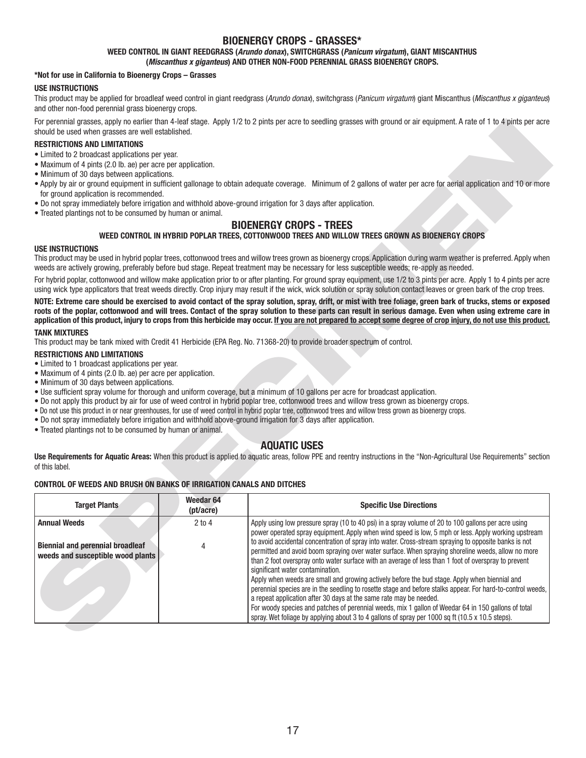## **BIOENERGY CROPS - GRASSES\***

### **WEED CONTROL IN GIANT REEDGRASS (***Arundo donax***), SWITCHGRASS (***Panicum virgatum***), GIANT MISCANTHUS**

**(***Miscanthus x giganteus***) AND OTHER NON-FOOD PERENNIAL GRASS BIOENERGY CROPS.**

### **\*Not for use in California to Bioenergy Crops – Grasses**

#### **USE INSTRUCTIONS**

This product may be applied for broadleaf weed control in giant reedgrass (*Arundo donax*), switchgrass (*Panicum virgatum*) giant Miscanthus (*Miscanthus x giganteus*) and other non-food perennial grass bioenergy crops.

For perennial grasses, apply no earlier than 4-leaf stage. Apply 1/2 to 2 pints per acre to seedling grasses with ground or air equipment. A rate of 1 to 4 pints per acre should be used when grasses are well established.

### **RESTRICTIONS AND LIMITATIONS**

- Limited to 2 broadcast applications per year.
- Maximum of 4 pints (2.0 lb. ae) per acre per application.
- Minimum of 30 days between applications.
- Apply by air or ground equipment in sufficient gallonage to obtain adequate coverage. Minimum of 2 gallons of water per acre for aerial application and 10 or more for ground application is recommended.
- Do not spray immediately before irrigation and withhold above-ground irrigation for 3 days after application.
- Treated plantings not to be consumed by human or animal.

## **BIOENERGY CROPS - TREES**

### **WEED CONTROL IN HYBRID POPLAR TREES, COTTONWOOD TREES AND WILLOW TREES GROWN AS BIOENERGY CROPS**

#### **USE INSTRUCTIONS**

### **TANK MIXTURES**

#### **RESTRICTIONS AND LIMITATIONS**

- Limited to 1 broadcast applications per year.
- Maximum of 4 pints (2.0 lb. ae) per acre per application.
- Minimum of 30 days between applications.
- Use sufficient spray volume for thorough and uniform coverage, but a minimum of 10 gallons per acre for broadcast application.
- Do not apply this product by air for use of weed control in hybrid poplar tree, cottonwood trees and willow tress grown as bioenergy crops.
- Do not use this product in or near greenhouses, for use of weed control in hybrid poplar tree, cottonwood trees and willow tress grown as bioenergy crops.
- Do not spray immediately before irrigation and withhold above-ground irrigation for 3 days after application.
- Treated plantings not to be consumed by human or animal.

## **AQUATIC USES**

#### **CONTROL OF WEEDS AND BRUSH ON BANKS OF IRRIGATION CANALS AND DITCHES**

| <b>Target Plants</b><br><b>Annual Weeds</b><br><b>Biennial and perennial broadleaf</b><br>weeds and susceptible wood plants | (pt/acre)<br>$2$ to $4$<br>4 | Apply using low pressure spray (10 to 40 psi) in a spray volume of 20 to 100 gallons per acre using<br>power operated spray equipment. Apply when wind speed is low, 5 mph or less. Apply working upstream<br>to avoid accidental concentration of spray into water. Cross-stream spraying to opposite banks is not<br>permitted and avoid boom spraying over water surface. When spraying shoreline weeds, allow no more<br>than 2 foot overspray onto water surface with an average of less than 1 foot of overspray to prevent<br>significant water contamination.<br>Apply when weeds are small and growing actively before the bud stage. Apply when biennial and |
|-----------------------------------------------------------------------------------------------------------------------------|------------------------------|------------------------------------------------------------------------------------------------------------------------------------------------------------------------------------------------------------------------------------------------------------------------------------------------------------------------------------------------------------------------------------------------------------------------------------------------------------------------------------------------------------------------------------------------------------------------------------------------------------------------------------------------------------------------|
|                                                                                                                             |                              |                                                                                                                                                                                                                                                                                                                                                                                                                                                                                                                                                                                                                                                                        |
|                                                                                                                             |                              | <b>Specific Use Directions</b>                                                                                                                                                                                                                                                                                                                                                                                                                                                                                                                                                                                                                                         |
| <b>CONTROL OF WEEDS AND BRUSH ON BANKS OF IRRIGATION CANALS AND DITCHES</b>                                                 | Weedar <sub>64</sub>         |                                                                                                                                                                                                                                                                                                                                                                                                                                                                                                                                                                                                                                                                        |
| of this label.                                                                                                              |                              | Use Requirements for Aquatic Areas: When this product is applied to aquatic areas, follow PPE and reentry instructions in the "Non-Agricultural Use Requirements" section                                                                                                                                                                                                                                                                                                                                                                                                                                                                                              |
|                                                                                                                             |                              | <b>AQUATIC USES</b>                                                                                                                                                                                                                                                                                                                                                                                                                                                                                                                                                                                                                                                    |
| • Treated plantings not to be consumed by human or animal.                                                                  |                              | . Use sufficient spray volume for thorough and uniform coverage, but a minimum of 10 gallons per acre for broadcast application.<br>. Do not apply this product by air for use of weed control in hybrid poplar tree, cottonwood trees and willow tress grown as bioenergy crops.<br>. Do not use this product in or near greenhouses, for use of weed control in hybrid poplar tree, cottonwood trees and willow tress grown as bioenergy crops.<br>. Do not spray immediately before irrigation and withhold above-ground irrigation for 3 days after application.                                                                                                   |
| • Maximum of 4 pints (2.0 lb. ae) per acre per application.<br>• Minimum of 30 days between applications.                   |                              |                                                                                                                                                                                                                                                                                                                                                                                                                                                                                                                                                                                                                                                                        |
| <b>RESTRICTIONS AND LIMITATIONS</b><br>• Limited to 1 broadcast applications per year.                                      |                              |                                                                                                                                                                                                                                                                                                                                                                                                                                                                                                                                                                                                                                                                        |
|                                                                                                                             |                              | This product may be tank mixed with Credit 41 Herbicide (EPA Reg. No. 71368-20) to provide broader spectrum of control.                                                                                                                                                                                                                                                                                                                                                                                                                                                                                                                                                |
| <b>TANK MIXTURES</b>                                                                                                        |                              |                                                                                                                                                                                                                                                                                                                                                                                                                                                                                                                                                                                                                                                                        |
|                                                                                                                             |                              | NOTE: Extreme care should be exercised to avoid contact of the spray solution, spray, drift, or mist with tree foliage, green bark of trucks, stems or exposed<br>roots of the poplar, cottonwood and will trees. Contact of the spray solution to these parts can result in serious damage. Even when using extreme care in<br>application of this product, injury to crops from this herbicide may occur. If you are not prepared to accept some degree of crop injury, do not use this product.                                                                                                                                                                     |
|                                                                                                                             |                              | For hybrid poplar, cottonwood and willow make application prior to or after planting. For ground spray equipment, use 1/2 to 3 pints per acre. Apply 1 to 4 pints per acre<br>using wick type applicators that treat weeds directly. Crop injury may result if the wick, wick solution or spray solution contact leaves or green bark of the crop trees.                                                                                                                                                                                                                                                                                                               |
| <b>USE INSTRUCTIONS</b>                                                                                                     |                              | This product may be used in hybrid poplar trees, cottonwood trees and willow trees grown as bioenergy crops. Application during warm weather is preferred. Apply when<br>weeds are actively growing, preferably before bud stage. Repeat treatment may be necessary for less susceptible weeds; re-apply as needed.                                                                                                                                                                                                                                                                                                                                                    |
|                                                                                                                             |                              | WEED CONTROL IN HYBRID POPLAR TREES, COTTONWOOD TREES AND WILLOW TREES GROWN AS BIOENERGY CROPS                                                                                                                                                                                                                                                                                                                                                                                                                                                                                                                                                                        |
| • Treated plantings not to be consumed by human or animal.                                                                  |                              | <b>BIOENERGY CROPS - TREES</b>                                                                                                                                                                                                                                                                                                                                                                                                                                                                                                                                                                                                                                         |
| for ground application is recommended.                                                                                      |                              | . Do not spray immediately before irrigation and withhold above-ground irrigation for 3 days after application.                                                                                                                                                                                                                                                                                                                                                                                                                                                                                                                                                        |
| • Minimum of 30 days between applications.                                                                                  |                              | • Apply by air or ground equipment in sufficient gallonage to obtain adequate coverage. Minimum of 2 gallons of water per acre for aerial application and 10 or more                                                                                                                                                                                                                                                                                                                                                                                                                                                                                                   |
| • Maximum of 4 pints (2.0 lb. ae) per acre per application.                                                                 |                              |                                                                                                                                                                                                                                                                                                                                                                                                                                                                                                                                                                                                                                                                        |
|                                                                                                                             |                              |                                                                                                                                                                                                                                                                                                                                                                                                                                                                                                                                                                                                                                                                        |
| <b>RESTRICTIONS AND LIMITATIONS</b><br>• Limited to 2 broadcast applications per year.                                      |                              |                                                                                                                                                                                                                                                                                                                                                                                                                                                                                                                                                                                                                                                                        |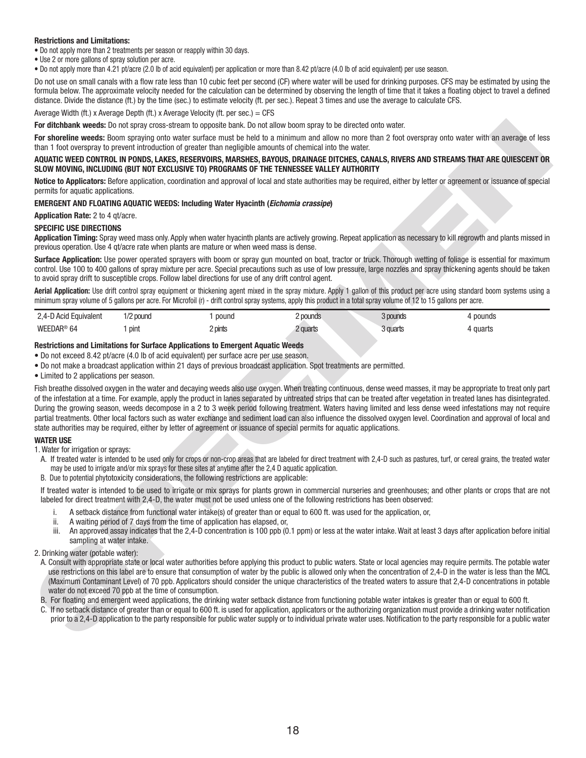### **Restrictions and Limitations:**

• Do not apply more than 2 treatments per season or reapply within 30 days.

• Use 2 or more gallons of spray solution per acre.

• Do not apply more than 4.21 pt/acre (2.0 lb of acid equivalent) per application or more than 8.42 pt/acre (4.0 lb of acid equivalent) per use season.

Do not use on small canals with a flow rate less than 10 cubic feet per second (CF) where water will be used for drinking purposes. CFS may be estimated by using the formula below. The approximate velocity needed for the calculation can be determined by observing the length of time that it takes a floating object to travel a defined distance. Divide the distance (ft.) by the time (sec.) to estimate velocity (ft. per sec.). Repeat 3 times and use the average to calculate CFS.

Average Width (ft.) x Average Depth (ft.) x Average Velocity (ft. per sec.) =  $CFS$ 

**For ditchbank weeds:** Do not spray cross-stream to opposite bank. Do not allow boom spray to be directed onto water.

**For shoreline weeds:** Boom spraying onto water surface must be held to a minimum and allow no more than 2 foot overspray onto water with an average of less than 1 foot overspray to prevent introduction of greater than negligible amounts of chemical into the water.

### **AQUATIC WEED CONTROL IN PONDS, LAKES, RESERVOIRS, MARSHES, BAYOUS, DRAINAGE DITCHES, CANALS, RIVERS AND STREAMS THAT ARE QUIESCENT OR SLOW MOVING, INCLUDING (BUT NOT EXCLUSIVE TO) PROGRAMS OF THE TENNESSEE VALLEY AUTHORITY**

**Notice to Applicators:** Before application, coordination and approval of local and state authorities may be required, either by letter or agreement or issuance of special permits for aquatic applications.

### **EMERGENT AND FLOATING AQUATIC WEEDS: Including Water Hyacinth (***Eichomia crassipe***)**

**Application Rate:** 2 to 4 qt/acre.

### **SPECIFIC USE DIRECTIONS**

**Application Timing:** Spray weed mass only. Apply when water hyacinth plants are actively growing. Repeat application as necessary to kill regrowth and plants missed in previous operation. Use 4 qt/acre rate when plants are mature or when weed mass is dense.

**Surface Application:** Use power operated sprayers with boom or spray gun mounted on boat, tractor or truck. Thorough wetting of foliage is essential for maximum control. Use 100 to 400 gallons of spray mixture per acre. Special precautions such as use of low pressure, large nozzles and spray thickening agents should be taken to avoid spray drift to susceptible crops. Follow label directions for use of any drift control agent.

Aerial Application: Use drift control spray equipment or thickening agent mixed in the spray mixture. Apply 1 gallon of this product per acre using standard boom systems using a minimum spray volume of 5 gallons per acre. For Microfoil (r) - drift control spray systems, apply this product in a total spray volume of 12 to 15 gallons per acre.

| 2.4-D Acid Equivalent | 1/2 pound | pound   | ! pounds | 3 pounds | ` pounds |
|-----------------------|-----------|---------|----------|----------|----------|
| WEEDAR® 64            | pint      | 2 pints | 2 quarts | 3 quarts | guarts . |

## **Restrictions and Limitations for Surface Applications to Emergent Aquatic Weeds**

• Do not exceed 8.42 pt/acre (4.0 lb of acid equivalent) per surface acre per use season.

- Do not make a broadcast application within 21 days of previous broadcast application. Spot treatments are permitted.
- Limited to 2 applications per season.

For channels were to be used to the the state of the matter specified in a similar to the state of the state of the state of the state of the state of the state of the state of the state of the state of the state of the s Fish breathe dissolved oxygen in the water and decaying weeds also use oxygen. When treating continuous, dense weed masses, it may be appropriate to treat only part of the infestation at a time. For example, apply the product in lanes separated by untreated strips that can be treated after vegetation in treated lanes has disintegrated. During the growing season, weeds decompose in a 2 to 3 week period following treatment. Waters having limited and less dense weed infestations may not require partial treatments. Other local factors such as water exchange and sediment load can also influence the dissolved oxygen level. Coordination and approval of local and state authorities may be required, either by letter of agreement or issuance of special permits for aquatic applications.

### **WATER USE**

- 1. Water for irrigation or sprays:
- A. If treated water is intended to be used only for crops or non-crop areas that are labeled for direct treatment with 2,4-D such as pastures, turf, or cereal grains, the treated water may be used to irrigate and/or mix sprays for these sites at anytime after the 2,4 D aquatic application.
- B. Due to potential phytotoxicity considerations, the following restrictions are applicable:

If treated water is intended to be used to irrigate or mix sprays for plants grown in commercial nurseries and greenhouses; and other plants or crops that are not labeled for direct treatment with 2,4-D, the water must not be used unless one of the following restrictions has been observed:

- i. A setback distance from functional water intake(s) of greater than or equal to 600 ft. was used for the application, or,
- ii. A waiting period of 7 days from the time of application has elapsed, or,
- An approved assay indicates that the 2,4-D concentration is 100 ppb (0.1 ppm) or less at the water intake. Wait at least 3 days after application before initial sampling at water intake.
- 2. Drinking water (potable water):
	- A. Consult with appropriate state or local water authorities before applying this product to public waters. State or local agencies may require permits. The potable water use restrictions on this label are to ensure that consumption of water by the public is allowed only when the concentration of 2,4-D in the water is less than the MCL (Maximum Contaminant Level) of 70 ppb. Applicators should consider the unique characteristics of the treated waters to assure that 2,4-D concentrations in potable water do not exceed 70 ppb at the time of consumption.
- B. For floating and emergent weed applications, the drinking water setback distance from functioning potable water intakes is greater than or equal to 600 ft.
- C. If no setback distance of greater than or equal to 600 ft. is used for application, applicators or the authorizing organization must provide a drinking water notifi cation prior to a 2,4-D application to the party responsible for public water supply or to individual private water uses. Notification to the party responsible for a public water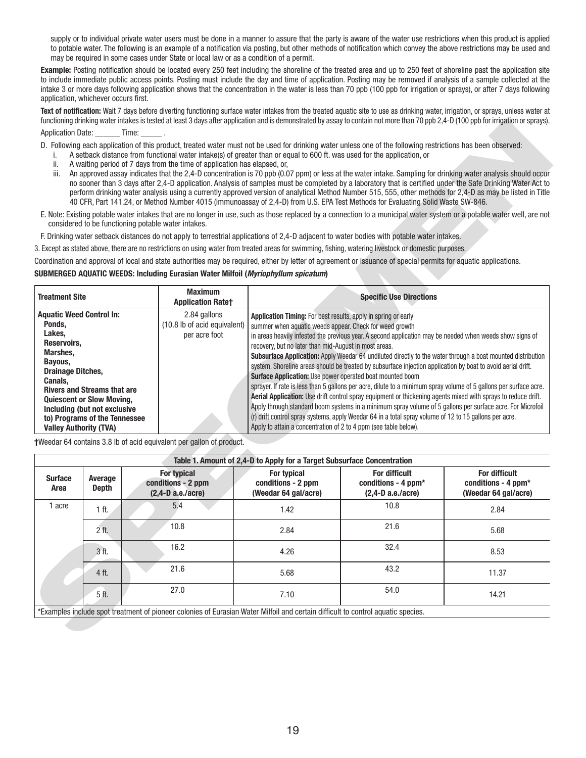supply or to individual private water users must be done in a manner to assure that the party is aware of the water use restrictions when this product is applied to potable water. The following is an example of a notification via posting, but other methods of notification which convey the above restrictions may be used and may be required in some cases under State or local law or as a condition of a permit.

**Example:** Posting notification should be located every 250 feet including the shoreline of the treated area and up to 250 feet of shoreline past the application site to include immediate public access points. Posting must include the day and time of application. Posting may be removed if analysis of a sample collected at the intake 3 or more days following application shows that the concentration in the water is less than 70 ppb (100 ppb for irrigation or sprays), or after 7 days following application, whichever occurs first.

**Text of notifi cation:** Wait 7 days before diverting functioning surface water intakes from the treated aquatic site to use as drinking water, irrigation, or sprays, unless water at functioning drinking water intakes is tested at least 3 days after application and is demonstrated by assay to contain not more than 70 ppb 2,4-D (100 ppb for irrigation or sprays).

## Application Date: Time:

- D. Following each application of this product, treated water must not be used for drinking water unless one of the following restrictions has been observed:
	- i. A setback distance from functional water intake(s) of greater than or equal to 600 ft. was used for the application, or
	- ii. A waiting period of 7 days from the time of application has elapsed, or,
	- iii. An approved assay indicates that the 2,4-D concentration is 70 ppb (0.07 ppm) or less at the water intake. Sampling for drinking water analysis should occur no sooner than 3 days after 2,4-D application. Analysis of samples must be completed by a laboratory that is certified under the Safe Drinking Water Act to perform drinking water analysis using a currently approved version of analytical Method Number 515, 555, other methods for 2,4-D as may be listed in Title 40 CFR, Part 141.24, or Method Number 4015 (immunoassay of 2,4-D) from U.S. EPA Test Methods for Evaluating Solid Waste SW-846.
- E. Note: Existing potable water intakes that are no longer in use, such as those replaced by a connection to a municipal water system or a potable water well, are not considered to be functioning potable water intakes.

### **SUBMERGED AQUATIC WEEDS: Including Eurasian Water Milfoil (***Myriophyllum spicatum***)**

| <b>Treatment Site</b>              | <b>Maximum</b><br><b>Application Ratet</b> | <b>Specific Use Directions</b>                                                                                    |  |
|------------------------------------|--------------------------------------------|-------------------------------------------------------------------------------------------------------------------|--|
| <b>Aquatic Weed Control In:</b>    | 2.84 gallons                               | Application Timing: For best results, apply in spring or early                                                    |  |
| Ponds,                             | (10.8 lb of acid equivalent)               | summer when aquatic weeds appear. Check for weed growth                                                           |  |
| Lakes.                             | per acre foot                              | in areas heavily infested the previous year. A second application may be needed when weeds show signs of          |  |
| Reservoirs.                        |                                            | recovery, but no later than mid-August in most areas.                                                             |  |
| Marshes,                           |                                            | Subsurface Application: Apply Weedar 64 undiluted directly to the water through a boat mounted distribution       |  |
| Bayous,                            |                                            | system. Shoreline areas should be treated by subsurface injection application by boat to avoid aerial drift.      |  |
| <b>Drainage Ditches,</b>           |                                            | <b>Surface Application:</b> Use power operated boat mounted boom                                                  |  |
| Canals.                            |                                            |                                                                                                                   |  |
| <b>Rivers and Streams that are</b> |                                            | sprayer. If rate is less than 5 gallons per acre, dilute to a minimum spray volume of 5 gallons per surface acre. |  |
| <b>Quiescent or Slow Moving,</b>   |                                            | Aerial Application: Use drift control spray equipment or thickening agents mixed with sprays to reduce drift.     |  |
| Including (but not exclusive       |                                            | Apply through standard boom systems in a minimum spray volume of 5 gallons per surface acre. For Microfoil        |  |
| to) Programs of the Tennessee      |                                            | (r) drift control spray systems, apply Weedar 64 in a total spray volume of 12 to 15 gallons per acre.            |  |
| <b>Valley Authority (TVA)</b>      |                                            | Apply to attain a concentration of 2 to 4 ppm (see table below).                                                  |  |

| İ.<br>ii.<br>iii.                                                                                                                | Application Date: ________ Time: _______ .                                                                                                                               |                                                     | A waiting period of 7 days from the time of application has elapsed, or, | A setback distance from functional water intake(s) of greater than or equal to 600 ft. was used for the application, or                                                                                                                                                                                             | D. Following each application of this product, treated water must not be used for drinking water unless one of the following restrictions has been observed:<br>40 CFR, Part 141.24, or Method Number 4015 (immunoassay of 2,4-D) from U.S. EPA Test Methods for Evaluating Solid Waste SW-846.                                                                                                                                                                                                                                                                                                                                                                                                                                                                                                       | An approved assay indicates that the 2,4-D concentration is 70 ppb (0.07 ppm) or less at the water intake. Sampling for drinking water analysis should occur<br>no sooner than 3 days after 2,4-D application. Analysis of samples must be completed by a laboratory that is certified under the Safe Drinking Water Act to<br>perform drinking water analysis using a currently approved version of analytical Method Number 515, 555, other methods for 2,4-D as may be listed in Title |
|----------------------------------------------------------------------------------------------------------------------------------|--------------------------------------------------------------------------------------------------------------------------------------------------------------------------|-----------------------------------------------------|--------------------------------------------------------------------------|---------------------------------------------------------------------------------------------------------------------------------------------------------------------------------------------------------------------------------------------------------------------------------------------------------------------|-------------------------------------------------------------------------------------------------------------------------------------------------------------------------------------------------------------------------------------------------------------------------------------------------------------------------------------------------------------------------------------------------------------------------------------------------------------------------------------------------------------------------------------------------------------------------------------------------------------------------------------------------------------------------------------------------------------------------------------------------------------------------------------------------------|-------------------------------------------------------------------------------------------------------------------------------------------------------------------------------------------------------------------------------------------------------------------------------------------------------------------------------------------------------------------------------------------------------------------------------------------------------------------------------------------|
|                                                                                                                                  |                                                                                                                                                                          | considered to be functioning potable water intakes. |                                                                          |                                                                                                                                                                                                                                                                                                                     |                                                                                                                                                                                                                                                                                                                                                                                                                                                                                                                                                                                                                                                                                                                                                                                                       | E. Note: Existing potable water intakes that are no longer in use, such as those replaced by a connection to a municipal water system or a potable water well, are not                                                                                                                                                                                                                                                                                                                    |
|                                                                                                                                  |                                                                                                                                                                          |                                                     |                                                                          |                                                                                                                                                                                                                                                                                                                     | F. Drinking water setback distances do not apply to terrestrial applications of 2,4-D adjacent to water bodies with potable water intakes.                                                                                                                                                                                                                                                                                                                                                                                                                                                                                                                                                                                                                                                            |                                                                                                                                                                                                                                                                                                                                                                                                                                                                                           |
|                                                                                                                                  |                                                                                                                                                                          |                                                     |                                                                          |                                                                                                                                                                                                                                                                                                                     | 3. Except as stated above, there are no restrictions on using water from treated areas for swimming, fishing, watering livestock or domestic purposes.                                                                                                                                                                                                                                                                                                                                                                                                                                                                                                                                                                                                                                                |                                                                                                                                                                                                                                                                                                                                                                                                                                                                                           |
|                                                                                                                                  |                                                                                                                                                                          |                                                     |                                                                          | SUBMERGED AQUATIC WEEDS: Including Eurasian Water Milfoil (Myriophyllum spicatum)                                                                                                                                                                                                                                   | Coordination and approval of local and state authorities may be required, either by letter of agreement or issuance of special permits for aquatic applications.                                                                                                                                                                                                                                                                                                                                                                                                                                                                                                                                                                                                                                      |                                                                                                                                                                                                                                                                                                                                                                                                                                                                                           |
| <b>Treatment Site</b>                                                                                                            |                                                                                                                                                                          |                                                     | <b>Maximum</b><br><b>Application Ratet</b>                               |                                                                                                                                                                                                                                                                                                                     | <b>Specific Use Directions</b>                                                                                                                                                                                                                                                                                                                                                                                                                                                                                                                                                                                                                                                                                                                                                                        |                                                                                                                                                                                                                                                                                                                                                                                                                                                                                           |
| <b>Aquatic Weed Control In:</b><br>Ponds.<br>Lakes.<br>Reservoirs,<br>Marshes,<br>Bayous,<br><b>Drainage Ditches,</b><br>Canals. | <b>Rivers and Streams that are</b><br><b>Quiescent or Slow Moving,</b><br>Including (but not exclusive<br>to) Programs of the Tennessee<br><b>Valley Authority (TVA)</b> |                                                     | 2.84 gallons<br>(10.8 lb of acid equivalent)<br>per acre foot            | Application Timing: For best results, apply in spring or early<br>summer when aquatic weeds appear. Check for weed growth<br>recovery, but no later than mid-August in most areas.<br>Surface Application: Use power operated boat mounted boom<br>Apply to attain a concentration of 2 to 4 ppm (see table below). | in areas heavily infested the previous year. A second application may be needed when weeds show signs of<br>Subsurface Application: Apply Weedar 64 undiluted directly to the water through a boat mounted distribution<br>system. Shoreline areas should be treated by subsurface injection application by boat to avoid aerial drift.<br>sprayer. If rate is less than 5 gallons per acre, dilute to a minimum spray volume of 5 gallons per surface acre.<br>Aerial Application: Use drift control spray equipment or thickening agents mixed with sprays to reduce drift.<br>Apply through standard boom systems in a minimum spray volume of 5 gallons per surface acre. For Microfoil<br>(r) drift control spray systems, apply Weedar 64 in a total spray volume of 12 to 15 gallons per acre. |                                                                                                                                                                                                                                                                                                                                                                                                                                                                                           |
|                                                                                                                                  |                                                                                                                                                                          |                                                     | †Weedar 64 contains 3.8 lb of acid equivalent per gallon of product.     |                                                                                                                                                                                                                                                                                                                     |                                                                                                                                                                                                                                                                                                                                                                                                                                                                                                                                                                                                                                                                                                                                                                                                       |                                                                                                                                                                                                                                                                                                                                                                                                                                                                                           |
|                                                                                                                                  |                                                                                                                                                                          |                                                     |                                                                          | Table 1. Amount of 2,4-D to Apply for a Target Subsurface Concentration                                                                                                                                                                                                                                             |                                                                                                                                                                                                                                                                                                                                                                                                                                                                                                                                                                                                                                                                                                                                                                                                       |                                                                                                                                                                                                                                                                                                                                                                                                                                                                                           |
| <b>Surface</b><br>Area                                                                                                           | Average<br><b>Depth</b>                                                                                                                                                  |                                                     | For typical<br>conditions - 2 ppm<br>$(2,4-D \ a.e./acre)$               | For typical<br>conditions - 2 ppm<br>(Weedar 64 gal/acre)                                                                                                                                                                                                                                                           | <b>For difficult</b><br>conditions - 4 ppm*<br>$(2,4-D a.e./acre)$                                                                                                                                                                                                                                                                                                                                                                                                                                                                                                                                                                                                                                                                                                                                    | <b>For difficult</b><br>conditions - 4 ppm*<br>(Weedar 64 gal/acre)                                                                                                                                                                                                                                                                                                                                                                                                                       |
| 1 acre                                                                                                                           | 1 ft.                                                                                                                                                                    |                                                     | 5.4                                                                      | 1.42                                                                                                                                                                                                                                                                                                                | 10.8                                                                                                                                                                                                                                                                                                                                                                                                                                                                                                                                                                                                                                                                                                                                                                                                  | 2.84                                                                                                                                                                                                                                                                                                                                                                                                                                                                                      |
|                                                                                                                                  | 2 ft.                                                                                                                                                                    |                                                     | 10.8                                                                     | 2.84                                                                                                                                                                                                                                                                                                                | 21.6                                                                                                                                                                                                                                                                                                                                                                                                                                                                                                                                                                                                                                                                                                                                                                                                  | 5.68                                                                                                                                                                                                                                                                                                                                                                                                                                                                                      |
|                                                                                                                                  | 3 ft.                                                                                                                                                                    |                                                     | 16.2                                                                     | 4.26                                                                                                                                                                                                                                                                                                                | 32.4                                                                                                                                                                                                                                                                                                                                                                                                                                                                                                                                                                                                                                                                                                                                                                                                  | 8.53                                                                                                                                                                                                                                                                                                                                                                                                                                                                                      |
|                                                                                                                                  | 4 ft.                                                                                                                                                                    |                                                     | 21.6                                                                     | 5.68                                                                                                                                                                                                                                                                                                                | 43.2                                                                                                                                                                                                                                                                                                                                                                                                                                                                                                                                                                                                                                                                                                                                                                                                  | 11.37                                                                                                                                                                                                                                                                                                                                                                                                                                                                                     |
|                                                                                                                                  | 5 ft.                                                                                                                                                                    |                                                     | 27.0                                                                     | 7.10                                                                                                                                                                                                                                                                                                                | 54.0                                                                                                                                                                                                                                                                                                                                                                                                                                                                                                                                                                                                                                                                                                                                                                                                  | 14.21                                                                                                                                                                                                                                                                                                                                                                                                                                                                                     |
|                                                                                                                                  |                                                                                                                                                                          |                                                     |                                                                          | *Examples include spot treatment of pioneer colonies of Eurasian Water Milfoil and certain difficult to control aquatic species.                                                                                                                                                                                    |                                                                                                                                                                                                                                                                                                                                                                                                                                                                                                                                                                                                                                                                                                                                                                                                       |                                                                                                                                                                                                                                                                                                                                                                                                                                                                                           |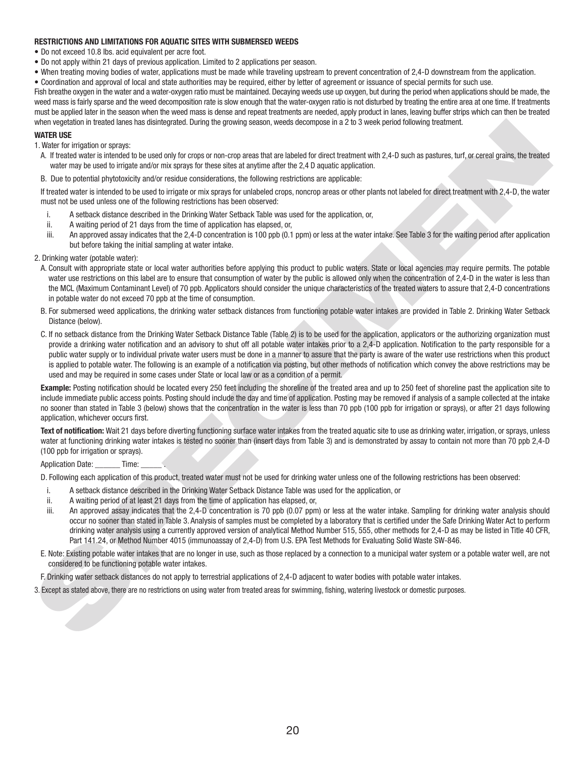### **RESTRICTIONS AND LIMITATIONS FOR AQUATIC SITES WITH SUBMERSED WEEDS**

- Do not exceed 10.8 lbs. acid equivalent per acre foot.
- Do not apply within 21 days of previous application. Limited to 2 applications per season.
- When treating moving bodies of water, applications must be made while traveling upstream to prevent concentration of 2,4-D downstream from the application.

• Coordination and approval of local and state authorities may be required, either by letter of agreement or issuance of special permits for such use.

Fish breathe oxygen in the water and a water-oxygen ratio must be maintained. Decaying weeds use up oxygen, but during the period when applications should be made, the weed mass is fairly sparse and the weed decomposition rate is slow enough that the water-oxygen ratio is not disturbed by treating the entire area at one time. If treatments must be applied later in the season when the weed mass is dense and repeat treatments are needed, apply product in lanes, leaving buffer strips which can then be treated when vegetation in treated lanes has disintegrated. During the growing season, weeds decompose in a 2 to 3 week period following treatment.

### **WATER USE**

1. Water for irrigation or sprays:

- A. If treated water is intended to be used only for crops or non-crop areas that are labeled for direct treatment with 2,4-D such as pastures, turf, or cereal grains, the treated water may be used to irrigate and/or mix sprays for these sites at anytime after the 2,4 D aquatic application.
- B. Due to potential phytotoxicity and/or residue considerations, the following restrictions are applicable:

If treated water is intended to be used to irrigate or mix sprays for unlabeled crops, noncrop areas or other plants not labeled for direct treatment with 2,4-D, the water must not be used unless one of the following restrictions has been observed:

- i. A setback distance described in the Drinking Water Setback Table was used for the application, or,
- ii. A waiting period of 21 days from the time of application has elapsed, or,
- iii. An approved assay indicates that the 2,4-D concentration is 100 ppb (0.1 ppm) or less at the water intake. See Table 3 for the waiting period after application but before taking the initial sampling at water intake.
- 2. Drinking water (potable water):
	- A. Consult with appropriate state or local water authorities before applying this product to public waters. State or local agencies may require permits. The potable water use restrictions on this label are to ensure that consumption of water by the public is allowed only when the concentration of 2,4-D in the water is less than the MCL (Maximum Contaminant Level) of 70 ppb. Applicators should consider the unique characteristics of the treated waters to assure that 2,4-D concentrations in potable water do not exceed 70 ppb at the time of consumption.
	- B. For submersed weed applications, the drinking water setback distances from functioning potable water intakes are provided in Table 2. Drinking Water Setback Distance (below).
- when the host users and the state of the state of the state of the state of the state of the state of the state of the state of the state of the state of the state of the state of the state of the state of the state of th C. If no setback distance from the Drinking Water Setback Distance Table (Table 2) is to be used for the application, applicators or the authorizing organization must provide a drinking water notification and an advisory to shut off all potable water intakes prior to a 2,4-D application. Notification to the party responsible for a public water supply or to individual private water users must be done in a manner to assure that the party is aware of the water use restrictions when this product is applied to potable water. The following is an example of a notification via posting, but other methods of notification which convey the above restrictions may be used and may be required in some cases under State or local law or as a condition of a permit.

**Example:** Posting notification should be located every 250 feet including the shoreline of the treated area and up to 250 feet of shoreline past the application site to include immediate public access points. Posting should include the day and time of application. Posting may be removed if analysis of a sample collected at the intake no sooner than stated in Table 3 (below) shows that the concentration in the water is less than 70 ppb (100 ppb for irrigation or sprays), or after 21 days following application, whichever occurs first.

Text of notification: Wait 21 days before diverting functioning surface water intakes from the treated aquatic site to use as drinking water, irrigation, or sprays, unless water at functioning drinking water intakes is tested no sooner than (insert days from Table 3) and is demonstrated by assay to contain not more than 70 ppb 2,4-D (100 ppb for irrigation or sprays).

#### Application Date: Time:

D. Following each application of this product, treated water must not be used for drinking water unless one of the following restrictions has been observed:

- i. A setback distance described in the Drinking Water Setback Distance Table was used for the application, or
- ii. A waiting period of at least 21 days from the time of application has elapsed, or,
- iii. An approved assay indicates that the 2,4-D concentration is 70 ppb (0.07 ppm) or less at the water intake. Sampling for drinking water analysis should occur no sooner than stated in Table 3. Analysis of samples must be completed by a laboratory that is certified under the Safe Drinking Water Act to perform drinking water analysis using a currently approved version of analytical Method Number 515, 555, other methods for 2,4-D as may be listed in Title 40 CFR, Part 141.24, or Method Number 4015 (immunoassay of 2,4-D) from U.S. EPA Test Methods for Evaluating Solid Waste SW-846.
- E. Note: Existing potable water intakes that are no longer in use, such as those replaced by a connection to a municipal water system or a potable water well, are not considered to be functioning potable water intakes.
- F. Drinking water setback distances do not apply to terrestrial applications of 2,4-D adjacent to water bodies with potable water intakes.
- 3. Except as stated above, there are no restrictions on using water from treated areas for swimming, fi shing, watering livestock or domestic purposes.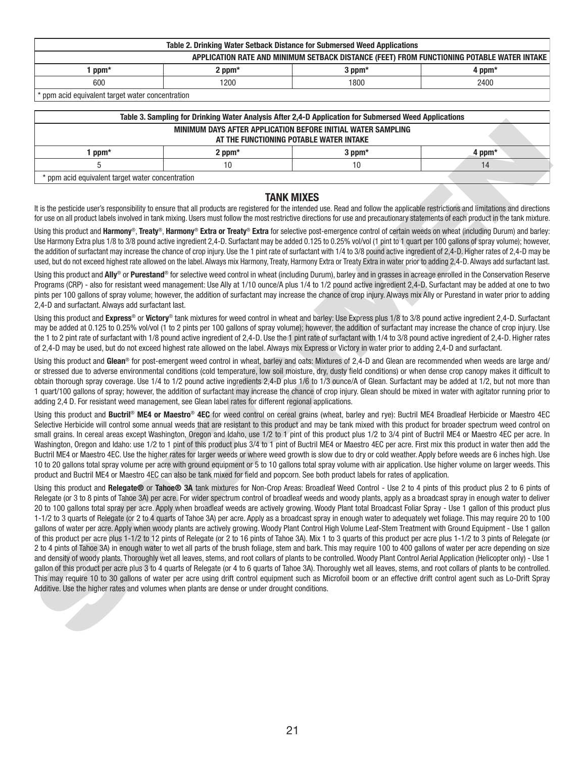| Table 2. Drinking Water Setback Distance for Submersed Weed Applications                   |                              |  |  |  |  |  |
|--------------------------------------------------------------------------------------------|------------------------------|--|--|--|--|--|
| APPLICATION RATE AND MINIMUM SETBACK DISTANCE (FEET) FROM FUNCTIONING POTABLE WATER INTAKE |                              |  |  |  |  |  |
| $ppm*$                                                                                     | 2 ppm*<br>$3$ ppm*<br>4 ppm* |  |  |  |  |  |
| 600<br>1200<br>1800<br>2400                                                                |                              |  |  |  |  |  |
| .<br>.                                                                                     | .                            |  |  |  |  |  |

\* ppm acid equivalent target water concentration

| Table 3. Sampling for Drinking Water Analysis After 2.4-D Application for Submersed Weed Applications   |             |             |        |  |  |  |
|---------------------------------------------------------------------------------------------------------|-------------|-------------|--------|--|--|--|
| MINIMUM DAYS AFTER APPLICATION BEFORE INITIAL WATER SAMPLING<br>AT THE FUNCTIONING POTABLE WATER INTAKE |             |             |        |  |  |  |
| $ppm*$                                                                                                  | $2$ ppm $*$ | $3$ ppm $*$ | 4 ppm* |  |  |  |
|                                                                                                         | 10          |             |        |  |  |  |
| * ppm acid equivalent target water concentration                                                        |             |             |        |  |  |  |

### **TANK MIXES**

It is the pesticide user's responsibility to ensure that all products are registered for the intended use. Read and follow the applicable restrictions and limitations and directions for use on all product labels involved in tank mixing. Users must follow the most restrictive directions for use and precautionary statements of each product in the tank mixture.

Using this product and **Harmony**®, **Treaty**®, **Harmony**® **Extra or Treaty**® **Extra** for selective post-emergence control of certain weeds on wheat (including Durum) and barley: Use Harmony Extra plus 1/8 to 3/8 pound active ingredient 2,4-D. Surfactant may be added 0.125 to 0.25% vol/vol (1 pint to 1 quart per 100 gallons of spray volume); however, the addition of surfactant may increase the chance of crop injury. Use the 1 pint rate of surfactant with 1/4 to 3/8 pound active ingredient of 2,4-D. Higher rates of 2,4-D may be used, but do not exceed highest rate allowed on the label. Always mix Harmony, Treaty, Harmony Extra or Treaty Extra in water prior to adding 2,4-D. Always add surfactant last.

Using this product and **Ally**® or **Purestand**® for selective weed control in wheat (including Durum), barley and in grasses in acreage enrolled in the Conservation Reserve Programs (CRP) - also for resistant weed management: Use Ally at 1/10 ounce/A plus 1/4 to 1/2 pound active ingredient 2,4-D. Surfactant may be added at one to two pints per 100 gallons of spray volume; however, the addition of surfactant may increase the chance of crop injury. Always mix Ally or Purestand in water prior to adding 2,4-D and surfactant. Always add surfactant last.

Using this product and **Express**® or **Victory**® tank mixtures for weed control in wheat and barley: Use Express plus 1/8 to 3/8 pound active ingredient 2,4-D. Surfactant may be added at 0.125 to 0.25% vol/vol (1 to 2 pints per 100 gallons of spray volume); however, the addition of surfactant may increase the chance of crop injury. Use the 1 to 2 pint rate of surfactant with 1/8 pound active ingredient of 2,4-D. Use the 1 pint rate of surfactant with 1/4 to 3/8 pound active ingredient of 2,4-D. Higher rates of 2,4-D may be used, but do not exceed highest rate allowed on the label. Always mix Express or Victory in water prior to adding 2,4-D and surfactant.

Using this product and **Glean**® for post-emergent weed control in wheat, barley and oats: Mixtures of 2,4-D and Glean are recommended when weeds are large and/ or stressed due to adverse environmental conditions (cold temperature, low soil moisture, dry, dusty field conditions) or when dense crop canopy makes it difficult to obtain thorough spray coverage. Use 1/4 to 1/2 pound active ingredients 2,4-D plus 1/6 to 1/3 ounce/A of Glean. Surfactant may be added at 1/2, but not more than 1 quart/100 gallons of spray; however, the addition of surfactant may increase the chance of crop injury. Glean should be mixed in water with agitator running prior to adding 2,4 D. For resistant weed management, see Glean label rates for different regional applications.

Using this product and **Buctril**® **ME4 or Maestro**® **4EC** for weed control on cereal grains (wheat, barley and rye): Buctril ME4 Broadleaf Herbicide or Maestro 4EC Selective Herbicide will control some annual weeds that are resistant to this product and may be tank mixed with this product for broader spectrum weed control on small grains. In cereal areas except Washington, Oregon and Idaho, use 1/2 to 1 pint of this product plus 1/2 to 3/4 pint of Buctril ME4 or Maestro 4EC per acre. In Washington, Oregon and Idaho: use 1/2 to 1 pint of this product plus 3/4 to 1 pint of Buctril ME4 or Maestro 4EC per acre. First mix this product in water then add the Buctril ME4 or Maestro 4EC. Use the higher rates for larger weeds or where weed growth is slow due to dry or cold weather. Apply before weeds are 6 inches high. Use 10 to 20 gallons total spray volume per acre with ground equipment or 5 to 10 gallons total spray volume with air application. Use higher volume on larger weeds. This product and Buctril ME4 or Maestro 4EC can also be tank mixed for field and popcorn. See both product labels for rates of application.

MERINANT OF THE REPORTED THE PROFESSION CONTRIBUTED INTO A SPECIFIC THE REPORT OF THE REPORT OF THE REPORT OF THE REPORT OF THE REPORT OF THE REPORT OF THE REPORT OF THE REPORT OF THE REPORT OF THE REPORT OF THE REPORT OF Using this product and **Relegate®** or **Tahoe® 3A** tank mixtures for Non-Crop Areas: Broadleaf Weed Control - Use 2 to 4 pints of this product plus 2 to 6 pints of Relegate (or 3 to 8 pints of Tahoe 3A) per acre. For wider spectrum control of broadleaf weeds and woody plants, apply as a broadcast spray in enough water to deliver 20 to 100 gallons total spray per acre. Apply when broadleaf weeds are actively growing. Woody Plant total Broadcast Foliar Spray - Use 1 gallon of this product plus 1-1/2 to 3 quarts of Relegate (or 2 to 4 quarts of Tahoe 3A) per acre. Apply as a broadcast spray in enough water to adequately wet foliage. This may require 20 to 100 gallons of water per acre. Apply when woody plants are actively growing. Woody Plant Control High Volume Leaf-Stem Treatment with Ground Equipment - Use 1 gallon of this product per acre plus 1-1/2 to 12 pints of Relegate (or 2 to 16 pints of Tahoe 3A). Mix 1 to 3 quarts of this product per acre plus 1-1/2 to 3 pints of Relegate (or 2 to 4 pints of Tahoe 3A) in enough water to wet all parts of the brush foliage, stem and bark. This may require 100 to 400 gallons of water per acre depending on size and density of woody plants. Thoroughly wet all leaves, stems, and root collars of plants to be controlled. Woody Plant Control Aerial Application (Helicopter only) - Use 1 gallon of this product per acre plus 3 to 4 quarts of Relegate (or 4 to 6 quarts of Tahoe 3A). Thoroughly wet all leaves, stems, and root collars of plants to be controlled. This may require 10 to 30 gallons of water per acre using drift control equipment such as Microfoil boom or an effective drift control agent such as Lo-Drift Spray Additive. Use the higher rates and volumes when plants are dense or under drought conditions.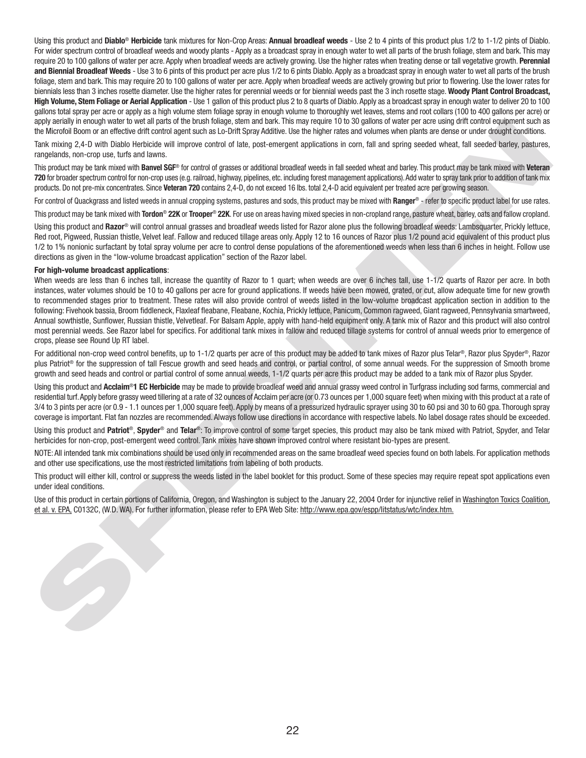Using this product and **Diablo**® **Herbicide** tank mixtures for Non-Crop Areas: **Annual broadleaf weeds** - Use 2 to 4 pints of this product plus 1/2 to 1-1/2 pints of Diablo. For wider spectrum control of broadleaf weeds and woody plants - Apply as a broadcast spray in enough water to wet all parts of the brush foliage, stem and bark. This may require 20 to 100 gallons of water per acre. Apply when broadleaf weeds are actively growing. Use the higher rates when treating dense or tall vegetative growth. **Perennial and Biennial Broadleaf Weeds** - Use 3 to 6 pints of this product per acre plus 1/2 to 6 pints Diablo. Apply as a broadcast spray in enough water to wet all parts of the brush foliage, stem and bark. This may require 20 to 100 gallons of water per acre. Apply when broadleaf weeds are actively growing but prior to flowering. Use the lower rates for biennials less than 3 inches rosette diameter. Use the higher rates for perennial weeds or for biennial weeds past the 3 inch rosette stage. **Woody Plant Control Broadcast, High Volume, Stem Foliage or Aerial Application** - Use 1 gallon of this product plus 2 to 8 quarts of Diablo. Apply as a broadcast spray in enough water to deliver 20 to 100 gallons total spray per acre or apply as a high volume stem foliage spray in enough volume to thoroughly wet leaves, stems and root collars (100 to 400 gallons per acre) or apply aerially in enough water to wet all parts of the brush foliage, stem and bark. This may require 10 to 30 gallons of water per acre using drift control equipment such as the Microfoil Boom or an effective drift control agent such as Lo-Drift Spray Additive. Use the higher rates and volumes when plants are dense or under drought conditions.

Tank mixing 2,4-D with Diablo Herbicide will improve control of late, post-emergent applications in corn, fall and spring seeded wheat, fall seeded barley, pastures, rangelands, non-crop use, turfs and lawns.

This product may be tank mixed with **Banvel SGF**® for control of grasses or additional broadleaf weeds in fall seeded wheat and barley. This product may be tank mixed with **Veteran 720** for broader spectrum control for non-crop uses (e.g. railroad, highway, pipelines, etc. including forest management applications). Add water to spray tank prior to addition of tank mix products. Do not pre-mix concentrates. Since **Veteran 720** contains 2,4-D, do not exceed 16 lbs. total 2,4-D acid equivalent per treated acre per growing season.

For control of Quackgrass and listed weeds in annual cropping systems, pastures and sods, this product may be mixed with **Ranger®** - refer to specific product label for use rates.

This product may be tank mixed with **Tordon**® **22K** or **Trooper**® **22K**. For use on areas having mixed species in non-cropland range, pasture wheat, barley, oats and fallow cropland.

Using this product and **Razor**® will control annual grasses and broadleaf weeds listed for Razor alone plus the following broadleaf weeds: Lambsquarter, Prickly lettuce, Red root, Pigweed, Russian thistle, Velvet leaf. Fallow and reduced tillage areas only. Apply 12 to 16 ounces of Razor plus 1/2 pound acid equivalent of this product plus 1/2 to 1% nonionic surfactant by total spray volume per acre to control dense populations of the aforementioned weeds when less than 6 inches in height. Follow use directions as given in the "low-volume broadcast application" section of the Razor label.

#### **For high-volume broadcast applications**:

appears in monotonic state and the track into the specific the state of the state of the state of the state of the state of the state of the state of the state of the state of the state of the state of the state of the sta When weeds are less than 6 inches tall, increase the quantity of Razor to 1 quart; when weeds are over 6 inches tall, use 1-1/2 quarts of Razor per acre. In both instances, water volumes should be 10 to 40 gallons per acre for ground applications. If weeds have been mowed, grated, or cut, allow adequate time for new growth to recommended stages prior to treatment. These rates will also provide control of weeds listed in the low-volume broadcast application section in addition to the following: Fivehook bassia, Broom fiddleneck, Flaxleaf fleabane, Fleabane, Kochia, Prickly lettuce, Panicum, Common ragweed, Giant ragweed, Pennsylvania smartweed, Annual sowthistle, Sunflower, Russian thistle, Velvetleaf. For Balsam Apple, apply with hand-held equipment only. A tank mix of Razor and this product will also control most perennial weeds. See Razor label for specifics. For additional tank mixes in fallow and reduced tillage systems for control of annual weeds prior to emergence of crops, please see Round Up RT label.

For additional non-crop weed control benefits, up to 1-1/2 quarts per acre of this product may be added to tank mixes of Razor plus Telar®, Razor plus Spyder®, Razor plus Patriot<sup>®</sup> for the suppression of tall Fescue growth and seed heads and control, or partial control, of some annual weeds. For the suppression of Smooth brome growth and seed heads and control or partial control of some annual weeds, 1-1/2 quarts per acre this product may be added to a tank mix of Razor plus Spyder.

Using this product and **Acclaim<sup>®</sup>1 EC Herbicide** may be made to provide broadleaf weed and annual grassy weed control in Turfgrass including sod farms, commercial and residential turf. Apply before grassy weed tillering at a rate of 32 ounces of Acclaim per acre (or 0.73 ounces per 1,000 square feet) when mixing with this product at a rate of 3/4 to 3 pints per acre (or 0.9 - 1.1 ounces per 1,000 square feet). Apply by means of a pressurized hydraulic sprayer using 30 to 60 psi and 30 to 60 gpa. Thorough spray coverage is important. Flat fan nozzles are recommended. Always follow use directions in accordance with respective labels. No label dosage rates should be exceeded.

Using this product and **Patriot**®, **Spyder**® and **Telar**®: To improve control of some target species, this product may also be tank mixed with Patriot, Spyder, and Telar herbicides for non-crop, post-emergent weed control. Tank mixes have shown improved control where resistant bio-types are present.

NOTE: All intended tank mix combinations should be used only in recommended areas on the same broadleaf weed species found on both labels. For application methods and other use specifications, use the most restricted limitations from labeling of both products.

This product will either kill, control or suppress the weeds listed in the label booklet for this product. Some of these species may require repeat spot applications even under ideal conditions.

Use of this product in certain portions of California, Oregon, and Washington is subject to the January 22, 2004 Order for injunctive relief in Washington Toxics Coalition, et al. v. EPA, C0132C, (W.D. WA). For further information, please refer to EPA Web Site: http://www.epa.gov/espp/litstatus/wtc/index.htm.